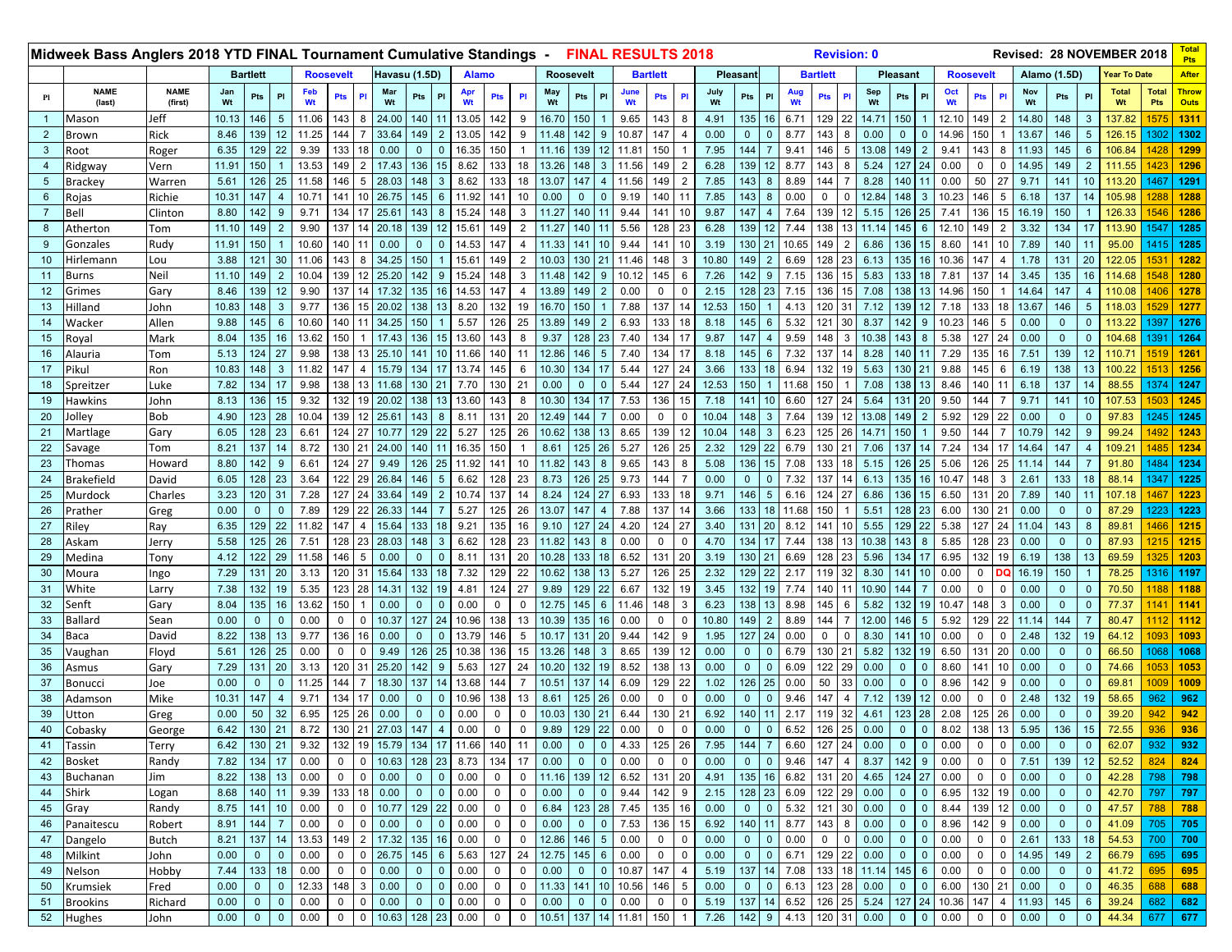|                 | Midweek Bass Anglers 2018 YTD FINAL Tournament Cumulative Standings - |                        |           |                 |                 |                                                                         |                  |                |                       |                |                 | <b>FINAL RESULTS 2018</b> |              |                |             |                  |                  | <b>Revision: 0</b> |                 |                |            |                                  |                                                      |                 |                |             |                 | Revised: 28 NOVEMBER 2018 |           | <b>Pts</b>                    |           |              |                 |                    |                            |                             |
|-----------------|-----------------------------------------------------------------------|------------------------|-----------|-----------------|-----------------|-------------------------------------------------------------------------|------------------|----------------|-----------------------|----------------|-----------------|---------------------------|--------------|----------------|-------------|------------------|------------------|--------------------|-----------------|----------------|------------|----------------------------------|------------------------------------------------------|-----------------|----------------|-------------|-----------------|---------------------------|-----------|-------------------------------|-----------|--------------|-----------------|--------------------|----------------------------|-----------------------------|
|                 |                                                                       |                        |           | <b>Bartlett</b> |                 |                                                                         | <b>Roosevelt</b> |                | Havasu (1.5D)         |                |                 | <b>Alamo</b>              |              |                |             | <b>Roosevelt</b> |                  |                    | <b>Bartlett</b> |                |            | <b>Pleasant</b>                  |                                                      | <b>Bartlett</b> |                |             | <b>Pleasant</b> |                           |           | <b>Roosevelt</b>              |           | Alamo (1.5D) |                 | Year To Date       |                            | <b>After</b>                |
| PI              | <b>NAME</b><br>(last)                                                 | <b>NAME</b><br>(first) | Jan<br>Wt | Pts             | P               | Feb<br>Wt                                                               | Pts              | PI             | Mar<br>Wt             | Pts            | <b>PI</b>       | Apr<br>Wt                 | <b>Pts</b>   | <b>PI</b>      | May         | Pts              | PI               | June               | Pts             | PI             | July<br>Wt | PI<br>Pts                        | Aug                                                  | Pts             | PI             | Sep<br>Wt   | Pts             | PI                        | Oct<br>Wt | PI<br>Pts                     | Nov<br>Wt | Pts          | PI              | <b>Total</b><br>Wt | <b>Total</b><br><b>Pts</b> | <b>Throw</b><br><b>Outs</b> |
| $\mathbf{1}$    | Mason                                                                 | Jeff                   | 10.13     | 146             | $5\phantom{.0}$ | 11.06                                                                   | 143              | 8              | 24.00                 | 140            | 11              | 13.05                     | 142          | 9              | 16.70       | 150              | -1               | 9.65               | 143             | 8              | 4.91       | 135<br>16                        | 6.71                                                 | 129             | 22             | 14.71       | 150             | $\mathbf{1}$              | 12.10     | 149<br>2                      | 14.80     | 148          | $\mathbf{3}$    | 137.82             | 1575                       | 1311                        |
| $\overline{2}$  | Brown                                                                 | Rick                   | 8.46      | 139             | 12              | 11.25                                                                   | 144              |                | 33.64                 | 149            |                 | 13.05                     | 142          | 9              | 11.48       | 142              | 9                | 10.87              | 147             |                | 0.00       | $\overline{0}$<br>$\mathbf{0}$   | 8.77                                                 | 143             | 8              | 0.00        | $\Omega$        | $\mathbf{0}$              | 14.96     | 150                           | 13.67     | 146          | $5\phantom{.0}$ | 126.15             | 1302                       | 1302                        |
| $\mathbf{3}$    | Root                                                                  | Roger                  | 6.35      | 129             | 22              | 9.39                                                                    | 133              |                | 0.00                  | $\Omega$       | n               | 16.35                     | 150          |                | 11.16       | 139              | 12               | 11.81              | 150             |                | 7.95       | 144                              | 9.41                                                 | 146             | 5              | 13.08       | 149             | 2                         | 9.41      | 143<br>8                      | 11.93     | 145          | 6               | 106.84             | 1428                       | 1299                        |
| $\overline{4}$  | Ridgway                                                               | Vern                   | 11.91     | 150             |                 | 13.53                                                                   | 149              |                | 17.43                 | 136            | 15              | 8.62                      | 133          | 18             | 13.26       | 148              | $\mathbf{3}$     | 11.56              | 149             | $\overline{2}$ | 6.28       | 139<br>12                        | 8.77                                                 | 143             | 8              | 5.24        | 127             | 24                        | 0.00      | $\mathbf 0$<br>$\mathbf 0$    | 14.95     | 149          | $\overline{2}$  | 111.55             | 1423                       | 1296                        |
| $5\overline{)}$ | Brackey                                                               | Warren                 | 5.61      | 126             | 25              | 11.58                                                                   | 146              |                | 28.03                 | 148            |                 | 8.62                      | 133          | 18             | 13.07       | 147              | $\overline{4}$   | 11.56              | 149             |                | 7.85       | 143<br>8                         | 8.89                                                 | 144             |                | 8.28        | 140             | 11                        | 0.00      | 27<br>50                      | 9.71      | 141          | 10              | 113.20             | 1467                       | 1291                        |
| 6               | Rojas                                                                 | Richie                 | 10.31     | 147             |                 | 10.71                                                                   | 141              |                | 26.75                 | 145            | 6               | 11.92                     | 141          | 10             | 0.00        | $\mathbf{0}$     | $\Omega$         | 9.19               | 140             |                | 7.85       | 143<br>8                         | 0.00                                                 | $\mathbf 0$     | $\Omega$       | 12.84       | 148             | $\mathbf{3}$              | 10.23     | 146<br>5                      | 6.18      | 137          | 14              | 105.98             | 1288                       | 1288                        |
| $\overline{7}$  | Bell                                                                  | Clinton                | 8.80      | 142             | 9               | 9.71                                                                    | 134              |                | 25.61                 | 143            | -8              | 15.24                     | 148          | $\mathbf{3}$   | 11.27       | 140              | 11               | 9.44               | 141             | 10             | 9.87       | 147                              | 7.64                                                 | 139             | 12             | 5.15        | 126             | 25                        | 7.41      | 136<br>15                     | 16.19     | 150          |                 | 126.33             | 546                        | 1286                        |
| 8               | Atherton                                                              | Tom                    | 11.10     | 149             | $\overline{2}$  | 9.90                                                                    | 137              |                | 20.18                 | 139            | 12              | 15.61                     | 149          | $\overline{2}$ | 11.27       | 140              | 11               | 5.56               | 128             | 23             | 6.28       | 139<br>12                        | 7.44                                                 | 138             | 13             | 11.14       | 145             | $6\phantom{1}$            | 12.10     | 149<br>$\overline{2}$         | 3.32      | 134          | 17              | 113.90             | 1547                       | 1285                        |
| 9               | Gonzales                                                              | Rudy                   | 11.91     | 150             |                 | 10.60                                                                   | 140              |                | 0.00                  | $\mathbf{0}$   | $\Omega$        | 14.53                     | 147          | $\overline{4}$ | 11.33       | 141              | 10               | 9.44               | 141             | 10             | 3.19       | 130 21                           | 10.65                                                | 149             | $\overline{2}$ | 6.86        | 136             | 15                        | 8.60      | 141<br>10                     | 7.89      | 140          | 11              | 95.00              | 1415                       | 1285                        |
| 10 <sup>1</sup> | Hirlemann                                                             | Lou                    | 3.88      | 121             | 30              | 11.06                                                                   | 143              |                | 34.25                 | 150            |                 | 15.61                     | 149          | $\overline{2}$ | 10.03       | 130              | 21               | 11.46              | 148             | 3              | 10.80      | 149<br>$\overline{2}$            | 6.69                                                 | 128             | 23             | 6.13        | 135             | 16                        | 10.36     | 147<br>$\overline{4}$         | 1.78      | 131          | 20              | 122.05             | 1531                       | 1282                        |
| 11              | <b>Burns</b>                                                          | Neil                   | 11.10     | 149             | $\overline{2}$  | 10.04                                                                   | 139              |                | 25.20                 | 142            | -9              | 15.24                     | 148          | $\mathbf{3}$   | 11.48       | 142              | 9                | 10.12              | 145             | 6              | 7.26       | 142<br>9                         | 7.15                                                 | 136             | 15             | 5.83        | 133             | 18                        | 7.81      | 137<br>14                     | 3.45      | 135          | 16              | 114.68             | 1548                       | 1280                        |
| 12 <sub>2</sub> | Grimes                                                                | Gary                   | 8.46      | 139             | 12              | 9.90                                                                    | 137              |                | 17.32                 | 135            | 16              | 14.53                     | 147          | $\overline{4}$ | 13.89       | 149              | $\overline{2}$   | 0.00               | $\mathbf 0$     | $\Omega$       | 2.15       | 128 23                           | 7.15                                                 | 136             | 15             | 7.08        | 138             | 13                        | 14.96     | 150<br>-1                     | 14.64     | 147          | $\overline{4}$  | 110.08             | 1406                       | 1278                        |
| 13              | Hilland                                                               | John                   | 10.83     | 148             | 3               | 9.77                                                                    | 136              |                | 20.02                 | 138            |                 | 8.20                      | 132          | 19             | 16.70       | 150              |                  | 7.88               | 137             |                | 12.53      | 150                              | 4.13                                                 | 120             | 31             | 7.12        | 139             | 12                        | 7.18      | 133<br>18                     | 13.67     | 146          | $5\phantom{.0}$ | 118.03             |                            | 1277                        |
| 14              | Wacker                                                                | Allen                  | 9.88      | 145             | 6               | 10.60                                                                   | 140              |                | 34.25                 | 150            |                 | 5.57                      | 126          | 25             | 13.89       | 149              | $\overline{2}$   | 6.93               | 133             | 18             | 8.18       | 145<br>6                         | 5.32                                                 | 121             | 30             | 8.37        | 142             | 9                         | 10.23     | 5<br>146                      | 0.00      | $\mathbf{0}$ | $\Omega$        | 113.22             | 1397                       | 1276                        |
| 15              | Royal                                                                 | Mark                   | 8.04      | 135             | 16              | 13.62                                                                   | 150              |                | 17.43                 | 136            | 15 <sup>1</sup> | 13.60                     | 143          | 8              | 9.37        | 128 23           |                  | 7.40               | 134             |                | 9.87       | 147<br>$\overline{4}$            | 9.59                                                 | 148             | 3              | 10.38       | 143             | 8                         | 5.38      | 127<br>24                     | 0.00      | $\mathbf{0}$ | $\mathbf 0$     | 104.68             | 1391                       | 1264                        |
| 16              | Alauria                                                               | Tom                    | 5.13      | 124             | 27              | 9.98                                                                    | 138              |                | 25.10                 | 141            |                 | 11.66                     | 140          | 11             | 12.86       | 146              | 5                | 7.40               | 134             |                | 8.18       | 145<br>6                         | 7.32                                                 | 137             | 14             | 8.28        | 140             | 11                        | 7.29      | 135<br>16                     | 7.51      | 139          | 12              | 110.71             | 1519                       | 1261                        |
| 17              | Pikul                                                                 | Ron                    | 10.83     | 148             | $\mathbf{3}$    | 11.82                                                                   | 147              |                | 15.79                 | 134            | 17              | 13.74                     | 145          | 6              | 10.30       | 134              | 17               | 5.44               | 127             | 24             | 3.66       | 133<br>18                        | 6.94                                                 | 132             | 19             | 5.63        | 130             | 21                        | 9.88      | 145<br>6                      | 6.19      | 138          | 13              | 100.22             | 1513                       | 1256                        |
| 18              | Spreitzer                                                             | Luke                   | 7.82      | 134             | 17              | 9.98                                                                    | 138              |                | 11.68                 | 130            | 21              | 7.70                      | 130          | 21             | 0.00        | $\mathbf{0}$     | $\Omega$         | 5.44               | 127             | 24             | 12.53      | 150                              | 11.68                                                | 150             |                | 7.08        | 138             | 13                        | 8.46      | 140<br>11                     | 6.18      | 137          | 14              | 88.55              | 1374                       | 1247                        |
| 19              | Hawkins                                                               | John                   | 8.13      | 136             | 15              | 9.32                                                                    | 132              |                | 20.02                 | 138            | 13              | 13.60                     | 143          | 8              | 10.30       | 134              | 17               | 7.53               | 136             |                | 7.18       | 141<br>10                        | 6.60                                                 | 127             | 24             | 5.64        | 131             | 20                        | 9.50      | 144                           | 9.71      | 141          | 10              | 107.53             |                            | 1245                        |
| 20              | Jolley                                                                | <b>Bob</b>             | 4.90      | 123             | 28              | 10.04                                                                   | 139              | 12             | 25.61                 | 143            | 8               | 8.11                      | 131          | 20             | 12.49       | 144              | $\overline{7}$   | 0.00               | $\mathbf{0}$    | $\mathbf 0$    | 10.04      | 148<br>3                         | 7.64                                                 | 139             | 12             | 13.08       | 149             | $\overline{2}$            | 5.92      | 22<br>129                     | 0.00      | $\mathbf 0$  | $\mathbf{0}$    | 97.83              | 1245                       | 1245                        |
| 21              | Martlage                                                              | Gary                   | 6.05      | 128             | 23              | 6.61                                                                    | 124              |                | 10.77                 | 129            | 22              | 5.27                      | 125          | 26             | 10.62       | 138              | 13               | 8.65               | 139             | 12             | 10.04      | 148<br>$\overline{3}$            | 6.23                                                 | 125             | 26             | 14.71       | 150             |                           | 9.50      | 144                           | 10.79     | 142          | 9               | 99.24              | 1492                       | 1243                        |
| 22              | Savage                                                                | Tom                    | 8.21      | 137             | 14              | 8.72                                                                    | 130              |                | 24.00                 | 140            |                 | 16.35                     | 150          |                | 8.61        | 125              | 26               | 5.27               | 126             | 25             | 2.32       | 129<br>22                        | 6.79                                                 | 130             | 21             | 7.06        | 137             | 14                        | 7.24      | 134<br>17                     | 14.64     | 147          | $\overline{4}$  | $109.2^{\circ}$    |                            | 1234                        |
| 23              | Thomas                                                                | Howard                 | 8.80      | 142             | 9               | 6.61                                                                    | 124              | 27             | 9.49                  | 126            | 25              | 11.92                     | 141          | 10             | 11.82       | 143              | $\boldsymbol{8}$ | 9.65               | 143             | 8              | 5.08       | 136<br>15                        | 7.08                                                 | 133             | 18             | 5.15        | 126             | 25                        | 5.06      | 25<br>126                     | 11.14     | 144          | $\overline{7}$  | 91.80              | 1484                       | 1234                        |
| 24              | <b>Brakefield</b>                                                     | David                  | 6.05      | 128             | 23              | 3.64                                                                    | 122              | 29             | 26.84                 | 146            |                 | 6.62                      | 128          | 23             | 8.73        | 126              | 25               | 9.73               | 144             |                | 0.00       | $\mathbf 0$<br>$\mathbf{0}$      | 7.32                                                 | 137             | 14             | 6.13        | 135             | 16                        | 10.47     | 148<br>3                      | 2.61      | 133          | 18              | 88.14              | 1347                       | 1225                        |
| 25              | Murdock                                                               | Charles                | 3.23      | 120             | 31              | 7.28                                                                    | 127              | 24             | 33.64                 | 149            |                 | 10.74                     | 137          | 14             | 8.24        | 124              | 27               | 6.93               | 133             |                | 9.71       | 146<br>$5\phantom{.0}$           | 6.16                                                 | 124             | 27             | 6.86        | 136             | 15                        | 6.50      | 20<br>131                     | 7.89      | 140          | 11              | 107.18             | 1467                       | 1223                        |
| 26              | Prather                                                               | Greg                   | 0.00      | $\mathbf{0}$    | $\mathbf{0}$    | 7.89                                                                    | 129              | 22             | 26.33                 | 144            |                 | 5.27                      | 125          | 26             | 13.07       | 147              | $\overline{4}$   | 7.88               | 137             |                | 3.66       | 133<br>18                        | 11.68                                                | 150             |                | 5.51        | 128             | 23                        | 6.00      | 21<br>130                     | 0.00      | $\mathbf 0$  | $\mathbf 0$     | 87.29              | 1223                       | 1223                        |
| 27              | Riley                                                                 | Ray                    | 6.35      | 129             | 22              | 11.82                                                                   | 147              |                | 15.64                 | 133            | 18              | 9.21                      | 135          | 16             | 9.10        | 127              | 24               | 4.20               | 124             | 27             | 3.40       | 20<br>131                        | 8.12                                                 | 141             | 10             | 5.55        | 129             | 22                        | 5.38      | 24<br>127                     | 11.04     | 143          | 8               | 89.81              | 1466                       | 1215                        |
| 28              | Askam                                                                 | Jerry                  | 5.58      | 125             | 26              | 7.51                                                                    | 128              |                | 28.03                 | 148            | -3              | 6.62                      | 128          | 23             | 11.82       | 143              | 8                | 0.00               | $\Omega$        | $\Omega$       | 4.70       | 134<br>17                        | 7.44                                                 | 138             | 13             | 10.38       | 143             | 8                         | 5.85      | 23<br>128                     | 0.00      | $\mathbf{0}$ | $\Omega$        | 87.93              |                            | 1215                        |
| 29              | Medina                                                                | <b>Tony</b>            | 4.12      | 122             | 29              | 11.58                                                                   | 146              | .5             | 0.00                  | $\mathbf 0$    | $\mathbf{0}$    | 8.11                      | 131          | 20             | 10.28       | 133              | 18               | 6.52               | 131             | 20             | 3.19       | 130<br>21                        | 6.69                                                 | 128             | 23             | 5.96        | 134             | 17                        | 6.95      | 19<br>132                     | 6.19      | 138          | 13              | 69.59              | 325                        | 1203                        |
| 30              | Moura                                                                 | Ingo                   | 7.29      | 131             | 20              | 3.13                                                                    | 120              |                | 15.64                 | 133            | 18              | 7.32                      | 129          | 22             | 10.62       | 138              | 13               | 5.27               | 126             | 25             | 2.32       | 129<br>22                        | 2.17                                                 | 119             | 32             | 8.30        | 141             | 10                        | 0.00      | DC<br>0                       | 16.19     | 150          |                 | 78.25              | 1316                       | 1197                        |
| 31              | White                                                                 | Larry                  | 7.38      | 132             | 19              | 5.35                                                                    | 123              |                | 14.31                 | 132            | 19              | 4.81                      | 124          | 27             | 9.89        | 129              | 22               | 6.67               | 132             | 19             | 3.45       | 132<br>19                        | 7.74                                                 | 140             | 11             | 10.90       | 144             | $\overline{7}$            | 0.00      | $\Omega$<br>0                 | 0.00      | $\mathbf 0$  | $\mathbf 0$     | 70.50              | 1188                       | 1188                        |
| 32              | Senft                                                                 | Gary                   | 8.04      | 135             | 16              | 13.62                                                                   | 150              |                | 0.00                  | $\mathbf{0}$   | $\Omega$        | 0.00                      | $\Omega$     | 0              | 12.75       | 145              | $6\phantom{1}6$  | 11.46              | 148             | 3              | 6.23       | 138<br>13                        | 8.98                                                 | 145             | 6              | 5.82        | 132             | 19                        | 10.47     | 148<br>3                      | 0.00      | $\mathbf{0}$ | $\Omega$        | 77.37              | 141                        | 1141                        |
| 33              | <b>Ballard</b>                                                        | Sean                   | 0.00      | $\Omega$        | $\Omega$        | 0.00                                                                    | 0                |                | 10.37                 | 127            | 24              | 10.96                     | 138          | 13             | 10.39       | 135              | 16               | 0.00               | $\mathbf 0$     | 0              | 10.80      | 149<br>$\overline{2}$            | 8.89                                                 | 144             |                | 12.00       | 146             | $5\phantom{.0}$           | 5.92      | 22<br>129                     | 11.14     | 144          |                 | 80.47              |                            | 1112                        |
| 34              | Васа                                                                  | David                  | 8.22      | 138             | 13              | 9.77                                                                    | 136              | 16             | 0.00                  | $\mathbf{0}$   | $\Omega$        | 13.79                     | 146          | 5              | 10.17       | 131              | 20               | 9.44               | 142             | -9             | 1.95       | 127<br>24                        | 0.00                                                 | $\mathbf 0$     | $\Omega$       | 8.30        | 141             | 10                        | 0.00      | $\mathsf 0$<br>$\mathbf 0$    | 2.48      | 132          | 19              | 64.12              | 1093                       | 1093                        |
| 35              | Vaughan                                                               | Floyd                  | 5.61      | 126             | 25              | 0.00                                                                    | $\Omega$         |                | 9.49                  | 126            | 25              | 10.38                     | 136          | 15             | 13.26       | 148              | $\mathbf{3}$     | 8.65               | 139             | 12             | 0.00       | $\mathbf{0}$<br>$\Omega$         | 6.79                                                 | 130             | 21             | 5.82        | 132             | 19                        | 6.50      | 20<br>131                     | 0.00      | $\mathbf{0}$ | $\mathbf 0$     | 66.50              | 1068                       | 1068                        |
| 36              | Asmus                                                                 | Gary                   | 7.29      | 131             | 20              | 3.13                                                                    | 120              |                | 25.20                 | 142            | -9              | 5.63                      | 127          | 24             | 10.20       | 132              | 19               | 8.52               | 138             |                | 0.00       | $\mathbf{0}$<br>$\mathbf{0}$     | 6.09                                                 | 122             | 29             | 0.00        | $\Omega$        | $\mathbf{0}$              | 8.60      | 141<br>10                     | 0.00      | $\mathbf 0$  | $\mathbf 0$     | 74.66              | 1053                       | 1053                        |
| 37              | <b>Bonucci</b>                                                        | Joe                    | 0.00      | $\Omega$        | $\Omega$        | 11.25                                                                   | 144              |                | 18.30                 | 137            |                 | 13.68                     | 144          | $\overline{7}$ | 10.51       | 137              | 14               | 6.09               | 129             | 22             | 1.02       | 126 25                           | 0.00                                                 | 50              | 33             | 0.00        | $\Omega$        | $\mathbf{0}$              | 8.96      | 142<br>9                      | 0.00      | $\mathbf 0$  | $\overline{0}$  | 69.81              | 1009                       | 1009                        |
| 38              | Adamson                                                               | Mike                   | 10.31     | 147             | $\overline{4}$  | 9.71                                                                    | 134              |                | 0.00                  | $\Omega$       |                 | 10.96                     | 138          | 13             | 8.61        | 125              | 26               | 0.00               | $\mathbf 0$     | $\Omega$       | 0.00       | $\overline{0}$<br>$\mathbf{0}$   | 9.46                                                 | 147             |                | 7.12        | 139             | 12                        | 0.00      | $\mathbf 0$<br>$\mathbf 0$    | 2.48      | 132          | 19              | 58.65              | 962                        | 962                         |
| 39              | Jtton                                                                 | Greg                   | 0.00      | 50              | 32              | 6.95                                                                    | 125              | 26             | 0.00                  | $\mathbf{0}$   | $\Omega$        | 0.00                      | $\mathbf{0}$ | $\Omega$       | 10.03       | 130              | 21               | 6.44               | 130             | 21             | 6.92       | 140<br>11                        | 2.17                                                 | 119             | 32             | 4.61        | 123             | 28                        | 2.08      | 26<br>125                     | 0.00      | $\mathbf{0}$ |                 | 39.20              | 942                        | 942                         |
| 40              | Cobasky                                                               | George                 | 6.42      | 130             | 21              | 8.72                                                                    | 130              | 21             | 27.03                 | 147            |                 | 0.00                      | $\mathbf 0$  | $\mathbf 0$    | 9.89        | 129              | 22               | 0.00               | $\mathbf 0$     | $\Omega$       | 0.00       | $\mathbf{0}$<br>$\mathbf{0}$     | 6.52                                                 | 126             | 25             | 0.00        | $\Omega$        | $\mathbf{0}$              | 8.02      | 138<br>13                     | 5.95      | 136          | 15              | 72.55              | 936                        | 936                         |
| 41              | Tassin                                                                | Terry                  |           |                 |                 | 6.42   130   21   9.32   132   19   15.79   134   17   11.66   140   11 |                  |                |                       |                |                 |                           |              |                | 0.00        |                  | $0 \quad 0$      | 4.33               | 125 26          |                | 7.95       | 144                              |                                                      | 6.60 127 24     |                | 0.00        | $\mathbf{0}$    | $\mathbf{0}$              | 0.00      | $\mathbf 0$<br>0              | 0.00      | $\mathbf{0}$ |                 | 62.07              | 932                        | 932                         |
|                 | 42 Bosket                                                             | Randy                  | 7.82      | 134 17          |                 | 0.00                                                                    | $\overline{0}$   |                | $0$ 10.63 128 23 8.73 |                |                 |                           |              | 134 17         | 0.00        |                  | $0$ 0            | 0.00               | $\overline{0}$  | $\mathbf 0$    | 0.00       | $\overline{0}$                   | $0$ 9.46 147 4                                       |                 |                | 8.37 142 9  |                 |                           | 0.00      | $\overline{0}$<br>$\mathbf 0$ | 7.51      | 139          | 12              | 52.52              |                            | $824$ 824                   |
|                 | 43 Buchanan                                                           | Jim                    | 8.22      | 138 13          |                 | 0.00                                                                    | $\mathbf{0}$     | $\circ$        | 0.00                  | $\mathbf{0}$   | $\overline{0}$  | 0.00                      | $\mathbf 0$  | $\overline{0}$ | 11.16       |                  |                  | 139 12 6.52        | 131 20          |                | 4.91       | 135 16 6.82 131 20               |                                                      |                 |                | 4.65 124 27 |                 |                           | 0.00      | $\mathbf 0$<br>$\mathbf 0$    | 0.00      | $\mathbf{0}$ | $\overline{0}$  | 42.28              |                            | 798 798                     |
| 44              | Shirk                                                                 | Logan                  | 8.68      | 140             | 11              | 9.39                                                                    | 133              | 18             | 0.00                  | $\overline{0}$ | $\mathbf{0}$    | 0.00                      | $\mathbf 0$  | $\mathbf 0$    | 0.00        | $0 \quad 0$      |                  | 9.44               | 142             | 9              | 2.15       |                                  | 128 23 6.09 122 29 0.00                              |                 |                |             | $\mathbf 0$     | $\mathbf{0}$              | 6.95      | 132<br>19                     | 0.00      | $\mathbf{0}$ | $\mathbf 0$     | 42.70              |                            | 797 797                     |
| 45              | Gray                                                                  | Randy                  | 8.75      | 141 10          |                 | 0.00                                                                    | $\overline{0}$   | $\overline{0}$ | 10.77 129 22          |                |                 | 0.00                      | $\mathbf 0$  | $\mathbf 0$    | 6.84        |                  |                  | 123 28 7.45        | 135 16          |                | 0.00       |                                  | $0 \mid 0 \mid 5.32 \mid 121 \mid 30 \mid 0.00 \mid$ |                 |                |             | $\mathbf{0}$    | $\overline{0}$            | 8.44      | 139 12                        | 0.00      | $\mathbf{0}$ | $\mathbf{0}$    | 47.57              |                            | 788 788                     |
|                 | 46 Panaitescu                                                         | Robert                 | 8.91      | 144             | $\overline{7}$  | 0.00                                                                    | $\mathbf 0$      | $\mathbf{0}$   | 0.00                  | $\mathbf{0}$   | $\mathbf{0}$    | 0.00                      | $\mathbf 0$  | $\mathbf 0$    | 0.00        | $0$ 0            |                  | $\vert$ 7.53       | 136             | 15             | 6.92       | 140 11 8.77 143 8                |                                                      |                 |                | 0.00        | $\mathbf 0$     | $\overline{0}$            | 8.96      | 142<br>9                      | 0.00      | $\mathbf{0}$ | $\mathbf 0$     | 41.09              |                            | $705$ 705                   |
| 47              | Dangelo                                                               | <b>Butch</b>           | 8.21      | 137             | 14              | 13.53                                                                   | 149              | 2              | 17.32                 | 135            | 16              | 0.00                      | $\mathbf 0$  | $\mathsf 0$    | 12.86       |                  |                  | 146 5 0.00         | $\overline{0}$  | $\mathbf 0$    | 0.00       | $0 \quad 0$                      | 0.00                                                 | $\overline{0}$  | $\mathbf 0$    | 0.00        | $\mathbf 0$     | $\mathbf{0}$              | 0.00      | $\mathbf 0$<br>$\mathbf 0$    | 2.61      | 133          | 18              | 54.53              |                            | 700 700                     |
| 48              | Milkint                                                               | John                   | 0.00      | $\mathbf 0$     | $\pmb{0}$       | 0.00                                                                    | $\mathbf{0}$     |                | $0$ 26.75 145         |                | 6 <sup>1</sup>  | 5.63                      | 127          | 24             | 12.75 145 6 |                  |                  | 0.00               | $\overline{0}$  | $\mathbf 0$    | 0.00       | $0 \quad 0$                      | 6.71                                                 | 129 22 0.00     |                |             | $\mathbf 0$     | $\overline{0}$            | 0.00      | $\mathbf 0$<br>$\overline{0}$ | 14.95     | 149          | $\overline{2}$  | 66.79              |                            | 695 695                     |
| 49              | Nelson                                                                | Hobby                  | 7.44      | 133             | 18              | 0.00                                                                    | $\mathbf{0}$     | $0-1$          | 0.00                  | $\mathbf{0}$   | $\mathbf{0}$    | 0.00                      | $\mathbf 0$  | $\mathbf 0$    | 0.00        |                  |                  | $0 \t 0 \t 10.87$  | 147             | $\overline{4}$ | 5.19       |                                  | 137 14 7.08 133 18 11.14 145 6                       |                 |                |             |                 |                           | 0.00      | $\mathbf 0$<br>$\mathbf 0$    | 0.00      | $\mathbf{0}$ | $\mathbf 0$     | 41.72              |                            | $695$ 695                   |
| 50              | Krumsiek                                                              | Fred                   | 0.00      | $\mathbf 0$     | $\mathbf{0}$    | 12.33                                                                   | 148              | $\mathbf{3}$   | 0.00                  | $\mathbf{0}$   | $\mathbf{0}$    | 0.00                      | $\mathbf 0$  | $\mathbf 0$    | 11.33       |                  |                  | 141 10 10.56       | 146             | 5              | 0.00       | $\overline{0}$<br>$\overline{0}$ |                                                      | 6.13 123 28     |                | 0.00        | $\mathbf{0}$    | $\mathbf{0}$              | 6.00      | 130<br>21                     | 0.00      | $\mathbf{0}$ | $\mathbf{0}$    | 46.35              | 688                        | 688                         |
| 51              | <b>Brookins</b>                                                       | Richard                | 0.00      | $\mathbf 0$     | $\mathbf{0}$    | 0.00                                                                    | $\mathbf{0}$     | $\mathbf 0$    | 0.00                  | $\mathbf{0}$   | $\mathbf{0}$    | 0.00                      | $\mathbf 0$  | $\mathbf 0$    | 0.00        |                  | $0 \quad 0$      | 0.00               | $\overline{0}$  | $\mathbf 0$    | 5.19       |                                  | 137 14 6.52                                          | 126 25          |                | 5.24 127 24 |                 |                           | 10.36 147 | 4                             | 11.93     | 145          | 6               | 39.24              |                            | $682$ 682                   |
|                 | 52 Hughes                                                             | John                   | 0.00      | $\mathbf{0}$    | $\mathbf 0$     | 0.00                                                                    | $\mathbf 0$      | $\overline{0}$ | 10.63 128 23          |                |                 | 0.00                      | $\mathsf 0$  | $\mathsf 0$    |             |                  |                  | 10.51 137 14 11.81 | 150             | $\overline{1}$ | 7.26       | 142 9                            |                                                      | 4.13 120 31     |                | 0.00        | $\mathbf 0$     | $\overline{0}$            | 0.00      | $\mathsf 0$<br>$\mathsf 0$    | $0.00\,$  | $\mathbf{0}$ | $\mathbf 0$     | 44.34              |                            | 677 677                     |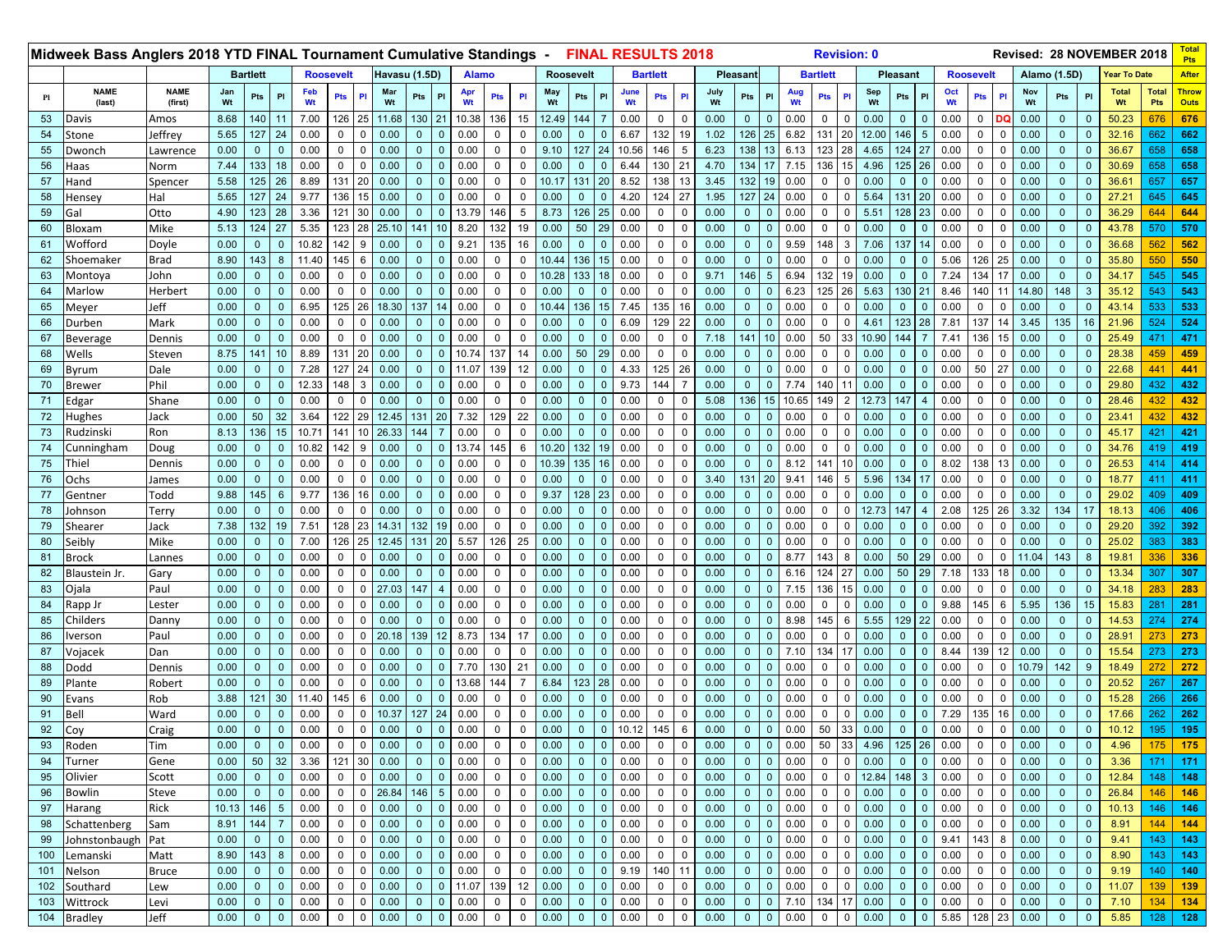| Midweek Bass Anglers 2018 YTD FINAL Tournament Cumulative Standings - FINAL RESULTS 2018 |                                     |                        |           |              |                 |           |                |                 |               |                |                |           |                  |             |           |                 |                        | <b>Revision: 0</b> |              |            |                |                 |                   |                               |           |                |                  | Revised: 28 NOVEMBER 2018 |              | Tota<br>Pts         |           |                     |              |                    |                     |                             |
|------------------------------------------------------------------------------------------|-------------------------------------|------------------------|-----------|--------------|-----------------|-----------|----------------|-----------------|---------------|----------------|----------------|-----------|------------------|-------------|-----------|-----------------|------------------------|--------------------|--------------|------------|----------------|-----------------|-------------------|-------------------------------|-----------|----------------|------------------|---------------------------|--------------|---------------------|-----------|---------------------|--------------|--------------------|---------------------|-----------------------------|
|                                                                                          | <b>Bartlett</b><br><b>Roosevelt</b> |                        |           |              |                 |           | Havasu (1.5D)  |                 |               | <b>Alamo</b>   |                |           | <b>Roosevelt</b> |             |           | <b>Bartlett</b> |                        |                    | Pleasant     |            |                | <b>Bartlett</b> |                   | Pleasant                      |           |                | <b>Roosevelt</b> |                           |              | <b>Alamo (1.5D)</b> |           | <b>Year To Date</b> |              | <b>After</b>       |                     |                             |
| Pl                                                                                       | <b>NAME</b><br>(last)               | <b>NAME</b><br>(first) | Jan<br>Wt | Pts          | PI              | Feb<br>Wt | Pts            | <b>PI</b>       | Mar<br>Wt     | Pts            | PI             | Apr<br>Wt | <b>Pts</b>       | <b>PI</b>   | May<br>Wt | Pts             | June<br>P<br>Wt        | <b>Pts</b>         | PI           | July<br>Wt | Pts            | PI              | Aug<br>Wt         | <b>PI</b><br>Pts              | Sep<br>Wt | Pts            | PI               | Oct<br>Wt                 | <b>Pts</b>   | PI                  | Nov<br>Wt | Pts                 | PI           | <b>Total</b><br>Wt | <b>Total</b><br>Pts | <b>Throw</b><br><b>Outs</b> |
| 53                                                                                       | Davis                               | Amos                   | 8.68      | 140          | 11              | 7.00      | 126 25         |                 | 11.68         | 130 21         |                | 10.38     | 136              | 15          | 12.49     | 144             | 0.00<br>$\overline{7}$ | $\mathbf 0$        | $\mathbf 0$  | 0.00       | $\mathbf{0}$   | $\mathbf{0}$    | 0.00              | $\mathbf 0$<br>0              | 0.00      | $\mathbf 0$    | $\mathbf{0}$     | 0.00                      | $\mathbf 0$  | DQ                  | 0.00      | $\mathbf{0}$        | $\mathbf{0}$ | 50.23              | 676                 | 676                         |
| 54                                                                                       | Stone                               | Jeffrev                | 5.65      | 127          | 24              | 0.00      | $\mathbf 0$    | $\mathbf{0}$    | 0.00          | $\Omega$       |                | 0.00      |                  | $\Omega$    | 0.00      | $\mathbf{0}$    | 6.67<br>$\Omega$       | 132                | 19           | 1.02       | 126            | 25              | 6.82              | 20<br>131                     | 12.00     | 146            | 5                | 0.00                      |              | $\Omega$            | 0.00      | $\mathbf{0}$        | $\Omega$     | 32.16              | 662                 | 662                         |
| 55                                                                                       | Dwonch                              | Lawrence               | 0.00      | $\Omega$     | $\Omega$        | 0.00      | $\Omega$       | $\mathbf 0$     | 0.00          | $\Omega$       |                | 0.00      | $\Omega$         | $\mathbf 0$ | 9.10      | 127             | 24<br>10.56            | 146                | 5            | 6.23       | 138            | 13              | 6.13              | 123<br>28                     | 4.65      | 124            | 27               | 0.00                      | $\Omega$     | $\Omega$            | 0.00      | $\mathbf{0}$        | $\Omega$     | 36.67              | 658                 | 658                         |
| 56                                                                                       | Haas                                | Norm                   | 7.44      | 133          | 18              | 0.00      | 0              | $\mathbf{0}$    | 0.00          | $\mathbf{0}$   | $\mathbf{0}$   | 0.00      | 0                | 0           | 0.00      | $\mathbf{0}$    | $\mathbf 0$<br>6.44    | 130                | 21           | 4.70       | 134            | 17              | 7.15              | 15<br>136                     | 4.96      | 125            | 26               | 0.00                      | $\mathbf 0$  | 0                   | 0.00      | $\mathbf{0}$        | $\mathbf 0$  | 30.69              | 658                 | 658                         |
| 57                                                                                       | Hand                                | Spencer                | 5.58      | 125          | 26              | 8.89      | 131            | 20              | 0.00          | $\mathbf{0}$   |                | 0.00      | $\mathbf 0$      | 0           | 10.17     | 131             | 20<br>8.52             | 138                | 13           | 3.45       | 132            | 19              | 0.00              | $\Omega$<br>$\Omega$          | 0.00      | $\mathbf{0}$   | $\Omega$         | 0.00                      | $\Omega$     | $\mathbf 0$         | 0.00      | $\mathbf{0}$        |              | 36.61              | 657                 | 657                         |
| 58                                                                                       | Hensey                              | Hal                    | 5.65      | 127          | 24              | 9.77      | 136            | 15              | 0.00          | $\Omega$       |                | 0.00      | $\Omega$         | $\mathbf 0$ | 0.00      | $\mathbf{0}$    | 4.20<br>$\mathbf{0}$   | 124                | 27           | 1.95       | 127            | 24              | 0.00              | 0                             | 5.64      | 131            | 20               | 0.00                      | $\Omega$     | $\Omega$            | 0.00      | $\mathbf{0}$        | $\Omega$     | 27.21              | 645                 | 645                         |
| 59                                                                                       | Gal                                 | Otto                   | 4.90      | 123          | 28              | 3.36      | 121            | 30              | 0.00          | $\mathbf 0$    | $\Omega$       | 13.79     | 146              | 5           | 8.73      | 126             | 25<br>0.00             | $\mathbf 0$        | $\mathbf 0$  | 0.00       | $\mathbf{0}$   | $\Omega$        | 0.00              | $\mathbf 0$<br>$\Omega$       | 5.51      | 128            | 23               | 0.00                      | $\mathbf 0$  | $\mathbf 0$         | 0.00      | $\mathbf 0$         | $\mathbf{0}$ | 36.29              | 644                 | 644                         |
| 60                                                                                       | Bloxam                              | Mike                   | 5.13      | 124          | 27              | 5.35      | 123            | 28              | 25.10         | 141            | 10             | 8.20      | 132              | 19          | 0.00      | 50              | 29<br>0.00             | $\mathbf 0$        | $\Omega$     | 0.00       | $\Omega$       | $\mathbf{0}$    | 0.00              | $\mathbf 0$<br>$\Omega$       | 0.00      | $\Omega$       | $\Omega$         | 0.00                      |              | $\Omega$            | 0.00      | $\mathbf{0}$        |              | 43.78              | 570                 | 570                         |
| 61                                                                                       | Wofford                             | Doyle                  | 0.00      | $\Omega$     | $\Omega$        | 10.82     | 142            | 9               | 0.00          | $\mathbf{0}$   |                | 9.21      | 135              | 16          | 0.00      | $\mathbf{0}$    | $\Omega$<br>0.00       | $\mathbf 0$        | $\Omega$     | 0.00       | $\mathbf{0}$   | $\Omega$        | 9.59              | 148<br>3                      | 7.06      | 137            | 14               | 0.00                      | $\mathbf 0$  | $\Omega$            | 0.00      | $\mathbf{0}$        | $\Omega$     | 36.68              | 562                 | 562                         |
| 62                                                                                       | Shoemaker                           | <b>Brad</b>            | 8.90      | 143          | 8               | 11.40     | 145            | 6               | 0.00          | $\mathbf{0}$   | $\Omega$       | 0.00      | 0                | 0           | 10.44     | 136             | 0.00<br>15             | 0                  | $\Omega$     | 0.00       | $\mathbf{0}$   | $\Omega$        | 0.00              | 0<br>$\Omega$                 | 0.00      | $\mathbf 0$    | $\mathbf{0}$     | 5.06                      | 126          | 25                  | 0.00      | $\mathbf{0}$        | $\Omega$     | 35.80              | 550                 | 550                         |
| 63                                                                                       | Montoya                             | John                   | 0.00      |              | $\Omega$        | 0.00      | 0              | 0               | 0.00          | $\mathbf{0}$   |                | 0.00      |                  | 0           | 10.28     | 133             | 18<br>0.00             | 0                  |              | 9.71       | 146            | 5               | 6.94              | 132<br>19                     | 0.00      | $\Omega$       | $\Omega$         | 7.24                      | 134          | 17                  | 0.00      | $\mathbf{0}$        |              | 34.17              | 545                 | 545                         |
| 64                                                                                       | Marlow                              | Herbert                | 0.00      | $\Omega$     | $\Omega$        | 0.00      | $\mathbf 0$    | $\mathbf{0}$    | 0.00          | $\mathbf{0}$   | $\mathbf{0}$   | 0.00      | $\Omega$         | 0           | 0.00      | $\mathbf{0}$    | 0.00<br>$\mathbf 0$    | 0                  | $\Omega$     | 0.00       | $\mathbf{0}$   | $\Omega$        | 6.23              | 125<br>26                     | 5.63      | 130            | 21               | 8.46                      | 140          | 11                  | 14.80     | 148                 | 3            | 35.12              | 543                 | 543                         |
| 65                                                                                       | Meyer                               | Jeff                   | 0.00      | $\Omega$     | $\Omega$        | 6.95      | 125            | 26              | 18.30         | 137            | 14             | 0.00      | $\mathbf 0$      | 0           | 10.44     | 136             | 15<br>7.45             | 135                | 16           | 0.00       | $\mathbf{0}$   | $\Omega$        | 0.00              | 0<br>$\Omega$                 | 0.00      | $\mathbf 0$    | $\Omega$         | 0.00                      | $\Omega$     | $\Omega$            | 0.00      | $\mathbf{0}$        | $\Omega$     | 43.14              | 533                 | 533                         |
| 66                                                                                       | Durben                              | Mark                   | 0.00      | $\Omega$     | $\mathbf{0}$    | 0.00      | 0              | 0               | 0.00          | $\mathbf{0}$   |                | 0.00      | $\mathbf 0$      | 0           | 0.00      | $\overline{0}$  | 6.09<br>$\mathbf 0$    | 129                | 22           | 0.00       | $\mathbf{0}$   | $\mathbf 0$     | 0.00              | 0<br>$\Omega$                 | 4.61      | 123            | 28               | 7.81                      | 137          | 14                  | 3.45      | 135                 | 16           | 21.96              | 524                 | 524                         |
| 67                                                                                       | Beverage                            | Dennis                 | 0.00      | $\Omega$     | $\Omega$        | 0.00      | $\mathbf{0}$   | $\mathbf{0}$    | 0.00          | $\mathbf{0}$   |                | 0.00      | $\Omega$         | 0           | 0.00      | $\mathbf{0}$    | 0.00<br>$\mathbf{0}$   | $\mathbf{0}$       | $\Omega$     | 7.18       | 141            | 10              | 0.00              | 50<br>33                      | 10.90     | 144            | $\overline{7}$   | 7.41                      | 136          | 15                  | 0.00      | $\mathbf{0}$        | $\Omega$     | 25.49              | 471                 | 471                         |
| 68                                                                                       | Wells                               | Steven                 | 8.75      | 141          | 10 <sup>1</sup> | 8.89      | 131            | 20              | 0.00          | $\mathbf{0}$   |                | 10.74     | 137              | 14          | 0.00      | 50              | 29<br>0.00             | $\mathbf 0$        | $\Omega$     | 0.00       | $\mathbf{0}$   | $\Omega$        | 0.00              | $\mathbf 0$<br>$\Omega$       | 0.00      | $\Omega$       | $\Omega$         | 0.00                      | $\Omega$     | 0                   | 0.00      | $\mathbf{0}$        | $\Omega$     | 28.38              | 459                 | 459                         |
| 69                                                                                       | Byrum                               | Dale                   | 0.00      |              | $\Omega$        | 7.28      | 127            | 24              | 0.00          | $\mathbf{0}$   | $\mathbf{0}$   | 11.07     | 139              | 12          | 0.00      | $\mathbf{0}$    | 4.33<br>$\mathbf 0$    | 125                | 26           | 0.00       | $\Omega$       | $\Omega$        | 0.00              | 0                             | 0.00      | $\mathbf{0}$   | $\Omega$         | 0.00                      | 50           | 27                  | 0.00      | $\mathbf 0$         | 0            | 22.68              | 441                 | 441                         |
| 70                                                                                       | Brewer                              | Phil                   | 0.00      |              | $\Omega$        | 12.33     | 148            | 3               | 0.00          | $\mathbf{0}$   | $\mathbf{0}$   | 0.00      | $\mathbf 0$      | 0           | 0.00      | $\mathbf{0}$    | $\overline{0}$<br>9.73 | 144                |              | 0.00       | $\overline{0}$ | $\mathbf{0}$    | 7.74              | 140<br>11                     | 0.00      | $\mathbf{0}$   | $\Omega$         | 0.00                      | $\Omega$     | $\mathbf 0$         | 0.00      | $\mathbf 0$         | $\mathbf 0$  | 29.80              | 432                 | 432                         |
| 71                                                                                       | Edgar                               | Shane                  | 0.00      | $\Omega$     | $\Omega$        | 0.00      | $\mathbf 0$    |                 | 0.00          | $\Omega$       |                | 0.00      | $\Omega$         | $\mathbf 0$ | 0.00      | $\mathbf{0}$    | 0.00<br>$\overline{0}$ | $\mathbf 0$        | $\Omega$     | 5.08       | 136            | 15              | 10.65             | 149<br>$\mathcal{P}$          | 12.73     | 147            |                  | 0.00                      | $\Omega$     | $\mathbf 0$         | 0.00      | $\mathbf{0}$        | $\Omega$     | 28.46              | 432                 | 432                         |
| 72                                                                                       | Hughes                              | Jack                   | 0.00      | 50           | 32              | 3.64      | 122            | 29              | 12.45         | 131            | 20             | 7.32      | 129              | 22          | 0.00      | $\mathbf{0}$    | 0.00<br>$\mathbf{0}$   | $\mathbf{0}$       | $\Omega$     | 0.00       | $\mathbf{0}$   | $\mathbf{0}$    | 0.00              | 0<br>- 0                      | 0.00      | $\mathbf 0$    | $\Omega$         | 0.00                      | $\Omega$     | $\Omega$            | 0.00      | $\mathbf{0}$        | $\Omega$     | 23.41              | 432                 | 432                         |
| 73                                                                                       | Rudzinski                           | Ron                    | 8.13      | 136          | 15              | 10.71     | $141$          | 10 <sup>1</sup> | 26.33         | 144            |                | 0.00      | $\mathbf 0$      | $\mathbf 0$ | 0.00      | $\mathbf{0}$    | $\mathbf{0}$<br>0.00   | $\mathbf 0$        | $\Omega$     | 0.00       | $\mathbf{0}$   | $\Omega$        | 0.00              | $\mathbf 0$<br>$\Omega$       | 0.00      | $\Omega$       | $\Omega$         | 0.00                      | $\Omega$     | $\mathbf 0$         | 0.00      | $\mathbf{0}$        | $\Omega$     | 45.17              | 421                 | 421                         |
| 74                                                                                       | Cunningham                          | Doug                   | 0.00      |              |                 | 10.82     | 142            | 9               | 0.00          | $\Omega$       |                | 13.74     | 145              | 6           | 10.20     | 132             | 19<br>0.00             | $\mathbf 0$        |              | 0.00       | $\Omega$       |                 | 0.00              | $\mathbf 0$                   | 0.00      | $\Omega$       | $\Omega$         | 0.00                      | $\Omega$     | $\Omega$            | 0.00      | $\mathbf{0}$        |              | 34.76              | 419                 | 419                         |
| 75                                                                                       | Thiel                               | Dennis                 | 0.00      | $\mathbf{0}$ | $\mathbf{0}$    | 0.00      | $\mathbf 0$    | $\mathbf{0}$    | 0.00          | $\mathbf{0}$   | $\mathbf{0}$   | 0.00      | 0                | 0           | 10.39     | 135             | 0.00<br>16             | $\mathbf 0$        | $\mathbf 0$  | 0.00       | $\mathbf 0$    | $\mathbf{0}$    | 8.12              | 141<br>10                     | 0.00      | $\mathbf 0$    | $\mathbf{0}$     | 8.02                      | 138          | 13                  | 0.00      | $\mathbf{0}$        | $\mathbf 0$  | 26.53              | 414                 | 414                         |
| 76                                                                                       | Ochs                                | James                  | 0.00      |              | $\Omega$        | 0.00      | 0              | $\mathbf 0$     | 0.00          | $\Omega$       |                | 0.00      | $\mathbf 0$      | $\mathbf 0$ | 0.00      | $\mathbf{0}$    | 0.00<br>$\Omega$       | $\mathbf 0$        | $\Omega$     | 3.40       | 131            | 20              | 9.41              | 146<br>5                      | 5.96      | 134            | 17               | 0.00                      |              | $\Omega$            | 0.00      | $\mathbf{0}$        | $\Omega$     | 18.77              | 411                 | 411                         |
| 77                                                                                       | Gentner                             | Todd                   | 9.88      | 145          | $6\phantom{1}6$ | 9.77      | 36             | 16              | 0.00          |                |                | 0.00      | 0                | $\mathbf 0$ | 9.37      | 128             | 23<br>0.00             | $\mathbf 0$        |              | 0.00       | $\Omega$       | $\Omega$        | 0.00              | 0                             | 0.00      | $\mathbf 0$    |                  | 0.00                      | $\Omega$     | $\Omega$            | 0.00      | $\mathbf 0$         |              | 29.02              | 409                 | 409                         |
| 78                                                                                       | Johnson                             | Terry                  | 0.00      | $\mathbf{0}$ | $\mathbf{0}$    | 0.00      | $\mathbf 0$    | $\mathbf{0}$    | 0.00          | $\mathbf{0}$   | $\mathbf{0}$   | 0.00      | $\mathbf 0$      | 0           | 0.00      | $\overline{0}$  | 0.00<br>$\mathbf 0$    | $\mathbf{0}$       | $\mathbf 0$  | 0.00       | $\mathbf 0$    | $\mathbf{0}$    | 0.00              | $\mathbf 0$<br>$\Omega$       | 12.73     | 147            | $\overline{4}$   | 2.08                      | 125          | 26                  | 3.32      | 134                 | 17           | 18.13              | 406                 | 406                         |
| 79                                                                                       | Shearer                             | Jack                   | 7.38      | 132          | 19              | 7.51      | 128            | 23              | 14.31         | 132            | 19             | 0.00      | $\Omega$         | 0           | 0.00      | $\mathbf{0}$    | 0.00<br>$\overline{0}$ | $\mathbf 0$        | $\Omega$     | 0.00       | $\Omega$       | $\Omega$        | 0.00              | $\mathbf 0$<br>$\Omega$       | 0.00      | $\Omega$       | $\Omega$         | 0.00                      | $\Omega$     | $\mathbf 0$         | 0.00      | $\mathbf{0}$        | $\Omega$     | 29.20              | 392                 | 392                         |
| 80                                                                                       | Seibly                              | Mike                   | 0.00      |              | $\Omega$        | 7.00      | 126            | 25              | 12.45         | 131            | 20             | 5.57      | 126              | 25          | 0.00      | $\mathbf{0}$    | $\mathbf{0}$<br>0.00   | $\mathbf 0$        |              | 0.00       | $\Omega$       | $\Omega$        | 0.00              | $\mathbf 0$                   | 0.00      | $\Omega$       |                  | 0.00                      | $\Omega$     | $\Omega$            | 0.00      | $\mathbf{0}$        | O            | 25.02              | 383                 | 383                         |
| 81                                                                                       | Brock                               | Lannes                 | 0.00      | $\Omega$     | $\Omega$        | 0.00      | $\mathbf 0$    | $\mathbf{0}$    | 0.00          | $\mathbf 0$    | $\mathbf{0}$   | 0.00      | 0                | 0           | 0.00      | $\mathbf{0}$    | 0.00<br>$\overline{0}$ | $\mathbf{0}$       | $\mathbf 0$  | 0.00       | $\mathbf 0$    | $\mathbf{0}$    | 8.77              | 143<br>8                      | 0.00      | 50             | 29               | 0.00                      | $\mathbf 0$  | $\mathbf 0$         | 11.04     | 143                 | 8            | 19.81              | 336                 | 336                         |
| 82                                                                                       | Blaustein Jr.                       | Gary                   | 0.00      |              | $\mathbf{0}$    | 0.00      | $\mathbf 0$    | $\mathbf{0}$    | 0.00          | $\mathbf 0$    |                | 0.00      | $\mathbf 0$      | 0           | 0.00      | $\mathbf{0}$    | 0.00<br>$\overline{0}$ | $\mathbf 0$        | $\Omega$     | 0.00       | $\Omega$       | $\Omega$        | 6.16              | 27<br>124                     | 0.00      | 50             | 29               | 7.18                      | 133          | 18                  | 0.00      | $\mathbf{0}$        | $\Omega$     | 13.34              | 307                 | 307                         |
| 83                                                                                       | Djala                               | Paul                   | 0.00      | $\Omega$     | $\Omega$        | 0.00      | $\Omega$       | $\mathbf 0$     | 27.03         | 147            |                | 0.00      | $\Omega$         | $\mathbf 0$ | 0.00      | $\mathbf{0}$    | 0.00<br>$\mathbf{0}$   | 0                  | <sup>0</sup> | 0.00       | $\Omega$       | $\Omega$        | 7.15              | 136<br>15                     | 0.00      | $\Omega$       | $\Omega$         | 0.00                      | $\Omega$     | $\Omega$            | 0.00      | $\mathbf{0}$        | $\Omega$     | 34.18              | 283                 | 283                         |
| 84                                                                                       | Rapp Jr                             | Lester                 | 0.00      | $\Omega$     | $\Omega$        | 0.00      | $\mathbf 0$    | $\mathbf{0}$    | 0.00          | $\mathbf 0$    |                | 0.00      | $\mathbf 0$      | 0           | 0.00      | $\mathbf{0}$    | 0.00<br>$\mathbf 0$    | $\mathbf 0$        | $\Omega$     | 0.00       | $\mathbf{0}$   | $\mathbf{0}$    | 0.00              | $\mathbf 0$<br>$\Omega$       | 0.00      | $\mathbf 0$    | $\mathbf{0}$     | 9.88                      | 145          | 6                   | 5.95      | 136                 | 15           | 15.83              | 281                 | 281                         |
| 85                                                                                       | Childers                            | Danny                  | 0.00      |              | $\mathbf 0$     | 0.00      | $\mathbf 0$    | $\mathbf 0$     | 0.00          | $\mathbf{0}$   |                | 0.00      | $\mathbf 0$      | 0           | 0.00      | $\mathbf{0}$    | $\overline{0}$<br>0.00 | $\mathbf 0$        |              | 0.00       | $\Omega$       | $\mathbf 0$     | 8.98              | 145<br>6                      | 5.55      | 129            | 22               | 0.00                      | $\Omega$     | $\Omega$            | 0.00      | $\mathbf{0}$        | $\Omega$     | 14.53              | 274                 | 274                         |
| 86                                                                                       | verson                              | Paul                   | 0.00      | $\Omega$     | $\Omega$        | 0.00      | 0              | $\mathbf{0}$    | 20.18         | 139            | 12             | 8.73      | 134              | 17          | 0.00      | $\mathbf{0}$    | $\mathbf{0}$<br>0.00   | $\mathbf 0$        |              | 0.00       | $\mathbf{0}$   | $\Omega$        | 0.00              | $\mathbf 0$                   | 0.00      | $\Omega$       | $\Omega$         | 0.00                      | $\Omega$     | $\Omega$            | 0.00      | $\mathbf{0}$        | $\Omega$     | 28.91              |                     | $273$   273                 |
| 87                                                                                       | Vojacek                             | Dan                    | 0.00      | $\Omega$     | $\Omega$        | 0.00      | 0              | $\mathbf{0}$    | 0.00          | $\mathbf{0}$   | $\Omega$       | 0.00      | $\mathbf 0$      | $\mathbf 0$ | 0.00      | $\mathbf{0}$    | 0.00<br>$\mathbf 0$    | $\mathbf 0$        | $\Omega$     | 0.00       | $\mathbf{0}$   | $\mathbf{0}$    | 7.10              | 134<br>17                     | 0.00      | $\mathbf 0$    | $\mathbf{0}$     | 8.44                      | 139          | 12                  | 0.00      | $\mathbf{0}$        | $\Omega$     | 15.54              | 273                 | 273                         |
| 88                                                                                       | Dodd                                | Dennis                 | 0.00      |              | $\Omega$        | 0.00      | $\Omega$       | $\mathbf{0}$    | 0.00          | $\mathbf{0}$   |                | 7.70      | 130              | 21          | 0.00      | $\mathbf{0}$    | 0.00<br>$\mathbf{0}$   | $\mathbf 0$        |              | 0.00       | $\Omega$       | $\Omega$        | 0.00              | $\mathbf 0$                   | 0.00      | $\Omega$       | $\Omega$         | 0.00                      |              | $\Omega$            | 10.79     | 142                 |              | 18.49              | 272                 | 272                         |
| 89                                                                                       | Plante                              | Robert                 | 0.00      | $\Omega$     | $\Omega$        | 0.00      | $\mathbf 0$    | $\mathbf{0}$    | 0.00          | $\mathbf{0}$   |                | 13.68     | 144              |             | 6.84      | 123             | 28<br>0.00             | $\mathbf 0$        | $\Omega$     | 0.00       | $\mathbf{0}$   | $\Omega$        | 0.00              | $\mathbf 0$                   | 0.00      | $\mathbf{0}$   | $\Omega$         | 0.00                      | $\Omega$     | $\Omega$            | 0.00      | $\mathbf{0}$        | $\Omega$     | 20.52              | 267                 | 267                         |
| 90                                                                                       | Evans                               | Rob                    | 3.88      | 121          | 30              | 11.40     | 145            | 6               | 0.00          | $\mathbf{0}$   |                | 0.00      | 0                | 0           | 0.00      | $\mathbf{0}$    | $\mathbf{0}$<br>0.00   | 0                  | $\Omega$     | 0.00       | $\mathbf{0}$   | $\Omega$        | 0.00              | $\mathbf 0$                   | 0.00      | $\mathbf 0$    | $\mathbf{0}$     | 0.00                      | $\Omega$     | $\Omega$            | 0.00      | $\mathbf{0}$        | $\Omega$     | 15.28              | 266                 | 266                         |
| 91                                                                                       | Bell                                | Ward                   | 0.00      |              | $\Omega$        | 0.00      | $\mathbf 0$    | $\mathbf 0$     | 10.37         | 127            | 24             | 0.00      | 0                | 0           | 0.00      | $\mathbf{0}$    | 0.00<br>$\mathbf 0$    | $\mathbf 0$        | $\Omega$     | 0.00       | $\Omega$       | $\Omega$        | 0.00              | $\mathbf 0$                   | 0.00      | $\mathbf{0}$   | $\mathbf{0}$     | 7.29                      | 135          | 16                  | 0.00      | $\Omega$            |              | 17.66              | 262                 | 262                         |
| 92                                                                                       | Соу                                 | Craig                  | 0.00      | $\Omega$     | $\Omega$        | 0.00      | $\mathbf 0$    | $\mathbf{0}$    | 0.00          | $\mathbf 0$    | $\mathbf{0}$   | 0.00      | $\mathbf 0$      | $\mathbf 0$ | 0.00      | $\mathbf{0}$    | 10.12<br>$\mathbf 0$   | 145                | 6            | 0.00       | $\mathbf{0}$   | $\mathbf{0}$    | 0.00              | 33<br>50                      | 0.00      | $\mathbf{0}$   | $\Omega$         | 0.00                      | $\Omega$     | $\mathbf 0$         | 0.00      | $\mathbf{0}$        | $\Omega$     | 10.12              | 195                 | 195                         |
| 93                                                                                       | Roden                               | Tim                    | 0.00      | $\mathbf 0$  | $\mathbf 0$     | 0.00      | $\mathbf{0}$   |                 | $0 \mid 0.00$ | $\mathbf 0$    | 0 <sup>1</sup> | 0.00      | 0                | 0           | 0.00      | $\mathbf{0}$    | $\overline{0}$<br>0.00 | 0                  | $\mathbf{0}$ | 0.00       | $\mathbf 0$    |                 | $0 \t 0.00 \t 50$ | 33 <sup>1</sup>               | 4.96      |                |                  | $125$ 26 0.00             | 0            | 0                   | 0.00      | $\mathbf 0$         | $\mathbf 0$  | 4.96               |                     | $175$   175                 |
| 94                                                                                       | Turner                              | Gene                   | 0.00      | 50           | 32 <sub>2</sub> | 3.36      | 121 30 0.00    |                 |               | $\mathbf{0}$   | $\mathbf{0}$   | 0.00      | 0                | $\mathbf 0$ | 0.00      | $\overline{0}$  | $\mathbf{0}$<br>0.00   | $\mathbf 0$        | 0            | 0.00       | $\mathbf 0$    | $\overline{0}$  | 0.00              | $\overline{0}$<br>0           | 0.00      | $\overline{0}$ | $\mathbf 0$      | 0.00                      | $\mathbf 0$  | 0                   | 0.00      | $\mathbf{0}$        | $\mathbf{0}$ | 3.36               |                     | $171$   171                 |
| 95                                                                                       | Olivier                             | Scott                  | 0.00      | $\mathbf{0}$ | $\overline{0}$  | 0.00      | $\overline{0}$ |                 | $0\quad 0.00$ | $\overline{0}$ | $\mathbf{0}$   | 0.00      | $\mathbf 0$      | $\mathbf 0$ | 0.00      | $\overline{0}$  | $\overline{0}$<br>0.00 | $\mathbf 0$        | $\mathbf{0}$ | 0.00       | $\overline{0}$ |                 | $0$ 0.00          | $\mathbf 0$<br>$\mathbf{0}$   | 12.84     | 148            | $\mathbf{3}$     | 0.00                      | $\mathbf 0$  | $\mathbf 0$         | 0.00      | $\mathbf{0}$        | $\mathbf{0}$ | 12.84              |                     | $148$   148                 |
| 96                                                                                       | <b>Bowlin</b>                       | Steve                  | 0.00      | $\mathbf 0$  | $\mathbf 0$     | 0.00      | $\mathbf 0$    |                 | $0$ 26.84     | 146            | $5^{\circ}$    | 0.00      | 0                | $\mathbf 0$ | 0.00      | $\overline{0}$  | $\overline{0}$<br>0.00 | $\mathbf 0$        | $\mathbf 0$  | 0.00       | $\mathbf 0$    | $\mathbf{0}$    | 0.00              | $\mathbf{0}$<br>$\Omega$      | 0.00      | $\overline{0}$ | $\mathbf 0$      | 0.00                      | 0            | $\mathbf 0$         | 0.00      | $\mathbf{0}$        | $\mathbf 0$  | 26.84              |                     | $146$   146                 |
| 97                                                                                       | Harang                              | Rick                   | 10.13     | 146          | $5\phantom{.0}$ | 0.00      | $\mathbf 0$    | $\overline{0}$  | 0.00          | $\mathbf{0}$   | $\mathbf{0}$   | 0.00      | 0                | $\mathbf 0$ | 0.00      | $\overline{0}$  | $\mathbf{0}$<br>0.00   | $\mathbf 0$        | $\mathbf{0}$ | 0.00       | $\mathbf 0$    | $\overline{0}$  | 0.00              | $\mathbf{0}$<br>$\Omega$      | 0.00      | $\mathbf{0}$   | $\mathbf{0}$     | 0.00                      | $\mathbf{0}$ | 0                   | 0.00      | $\mathbf{0}$        | 0            | 10.13              |                     | $146$ 146                   |
| 98                                                                                       | Schattenberg                        | Sam                    | 8.91      | 144          | $\overline{7}$  | 0.00      | $\overline{0}$ | $\circ$         | 0.00          | $\mathbf{0}$   | $\overline{0}$ | 0.00      | $\mathbf 0$      | $\mathbf 0$ | 0.00      | $\overline{0}$  | $\overline{0}$<br>0.00 | $\mathbf 0$        | $\mathbf 0$  | 0.00       | $\mathbf{0}$   | $\overline{0}$  | 0.00              | $\overline{0}$<br>$\mathbf 0$ | 0.00      | $\mathbf 0$    | $\mathbf 0$      | 0.00                      | $\mathbf 0$  | $\mathsf 0$         | 0.00      | $\mathbf{0}$        | $\mathbf{0}$ | 8.91               |                     | $144$   144                 |
| 99                                                                                       | Johnstonbaugh                       | Pat                    | 0.00      |              | 0               | 0.00      | 0              | $\mathbf 0$     | 0.00          | $\mathbf{0}$   | $\mathbf{0}$   | 0.00      | $\mathbf 0$      | 0           | 0.00      | $\mathbf{0}$    | $\overline{0}$<br>0.00 | $\mathbf 0$        | $\mathbf 0$  | 0.00       | $\mathbf{0}$   | $\mathbf{0}$    | 0.00              | $\mathbf 0$                   | 0.00      | $\mathbf 0$    | $\mathbf{0}$     | 9.41                      | 143          | 8                   | 0.00      | $\mathbf{0}$        | $\Omega$     | 9.41               | 143                 | 143                         |
| 100                                                                                      | Lemanski                            | Matt                   | 8.90      | 143          | 8               | 0.00      | $\mathbf{0}$   | $\overline{0}$  | 0.00          | $\mathbf{0}$   | $\mathbf{0}$   | 0.00      | $\mathbf 0$      | 0           | 0.00      | $\overline{0}$  | $\mathbf{0}$<br>0.00   | $\mathbf 0$        | $\mathbf 0$  | 0.00       | $\mathbf 0$    | $\overline{0}$  | 0.00              | $\overline{0}$<br>$\Omega$    | 0.00      | $\mathbf 0$    | $\mathbf 0$      | 0.00                      | 0            | $\mathbf 0$         | 0.00      | $\mathbf{0}$        | $\mathbf{0}$ | 8.90               |                     | $143$ 143                   |
| 101                                                                                      | Nelson                              | <b>Bruce</b>           | 0.00      |              | $\Omega$        | 0.00      | $\mathbf 0$    | $\overline{0}$  | 0.00          | $\mathbf{0}$   | $\mathbf{0}$   | 0.00      | 0                | 0           | 0.00      | $\mathbf{0}$    | $\overline{0}$<br>9.19 | 140                | 11           | 0.00       | $\mathbf{0}$   | $\mathbf{0}$    | 0.00              | $\mathbf 0$<br>$\Omega$       | 0.00      | $\mathbf 0$    | $\mathbf{0}$     | 0.00                      | $\Omega$     | $\mathbf 0$         | 0.00      | $\mathbf{0}$        | $\Omega$     | 9.19               | 140                 | 140                         |
| 102                                                                                      | Southard                            | Lew                    | 0.00      | $\mathbf 0$  | $\mathbf 0$     | 0.00      | $\mathbf 0$    | $\mathbf 0$     | 0.00          | $\mathbf{0}$   | $\mathbf{0}$   | 11.07     | 139              | 12          | 0.00      | $\mathbf{0}$    | $\mathbf 0$<br>0.00    | $\mathbf 0$        | $\Omega$     | 0.00       | $\mathbf{0}$   | $\mathbf 0$     | 0.00              | $\overline{0}$                | 0.00      | $\mathbf 0$    | $\mathbf 0$      | 0.00                      | $\mathbf 0$  | $\mathbf 0$         | 0.00      | $\mathbf{0}$        | 0            | 11.07              |                     | $139$ 139                   |
| 103                                                                                      | Wittrock                            | Levi                   | 0.00      | $\mathbf 0$  | $\mathbf 0$     | 0.00      | $\mathbf{0}$   | $\overline{0}$  | 0.00          | $\mathbf{0}$   | $\mathbf{0}$   | 0.00      | 0                | 0           | 0.00      | $\overline{0}$  | 0.00<br>$\mathbf 0$    | $\mathbf 0$        | $\mathbf 0$  | 0.00       | $\mathbf{0}$   | $\overline{0}$  | 7.10              | 134<br>17                     | 0.00      | $\mathbf 0$    | $\mathbf 0$      | 0.00                      | $\mathbf 0$  | $\mathbf 0$         | 0.00      | $\mathbf 0$         | $\mathbf{0}$ | 7.10               |                     | $134$ 134                   |
| 104                                                                                      | Bradley                             | Jeff                   | 0.00      | $\Omega$     | $\mathbf{0}$    | 0.00      | $\pmb{0}$      | $\overline{0}$  | 0.00          | $\mathbf{0}$   | $\mathbf{0}$   | 0.00      | $\mathsf 0$      | $\mathbf 0$ | 0.00      | $\mathbf{0}$    | 0.00<br>$\overline{0}$ | $\mathbf 0$        | $\mathbf 0$  | 0.00       | $\mathbf 0$    | $\overline{0}$  | $0.00\,$          | $\mathbf 0$<br>$\mathbf 0$    | 0.00      | $\mathbf 0$    | $\mathbf 0$      | 5.85 128 23               |              |                     | 0.00      | $\mathbf 0$         | $\Omega$     | 5.85               |                     | $128$ 128                   |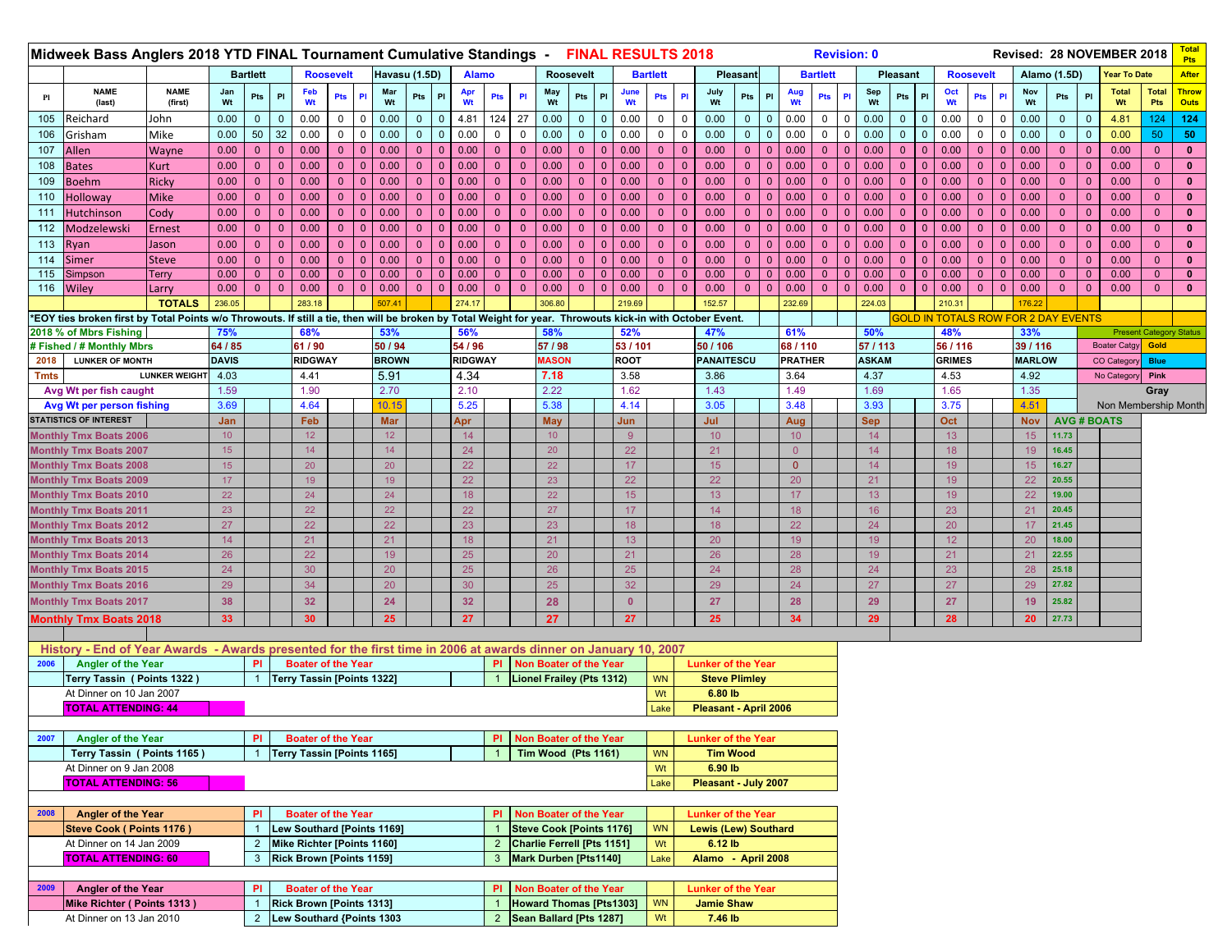|             | Midweek Bass Anglers 2018 YTD FINAL Tournament Cumulative Standings - FINAL RESULTS 2018                                                                  |                        |                 |                      |                |                                                       |                  |                |                |                |                |                  |                |                |                                                             |                  |                |               |                 |              |                                                | <b>Revision: 0</b> |                |                |                 |              |                 |                |              |                 |                  |              | Revised: 28 NOVEMBER 2018                  |                     | <b>Total</b><br>Pts     |                      |                     |                                |
|-------------|-----------------------------------------------------------------------------------------------------------------------------------------------------------|------------------------|-----------------|----------------------|----------------|-------------------------------------------------------|------------------|----------------|----------------|----------------|----------------|------------------|----------------|----------------|-------------------------------------------------------------|------------------|----------------|---------------|-----------------|--------------|------------------------------------------------|--------------------|----------------|----------------|-----------------|--------------|-----------------|----------------|--------------|-----------------|------------------|--------------|--------------------------------------------|---------------------|-------------------------|----------------------|---------------------|--------------------------------|
|             |                                                                                                                                                           |                        |                 | <b>Bartlett</b>      |                |                                                       | <b>Roosevelt</b> |                | Havasu (1.5D)  |                |                | <b>Alamo</b>     |                |                |                                                             | <b>Roosevelt</b> |                |               | <b>Bartlett</b> |              |                                                | Pleasant           |                |                | <b>Bartlett</b> |              |                 | Pleasant       |              |                 | <b>Roosevelt</b> |              |                                            | <b>Alamo (1.5D)</b> |                         | <b>Year To Date</b>  |                     | <b>After</b>                   |
| Pl          | <b>NAME</b><br>(last)                                                                                                                                     | <b>NAME</b><br>(first) | Jan<br>Wt       | Pts                  | PI             | Feb<br>Wt                                             | <b>Pts</b>       | PI             | Mar<br>Wt      | Pts            | PI             | Apr<br><b>Wt</b> | <b>Pts</b>     | P              | May<br>Wt                                                   | Pts              | PI             | June<br>Wt    | Pts             | PI           | July<br>Wt                                     | Pts                | PI             | Aug<br>Wt      | <b>Pts</b>      | PI           | Sep<br>Wt       | Pts            | P            | Oct<br>Wt       | Pts              | PI           | Nov<br>Wt                                  | Pts                 | P                       | <b>Total</b><br>Wt   | <b>Total</b><br>Pts | <b>Throw</b><br><b>Outs</b>    |
| 105         | Reichard                                                                                                                                                  | John                   | 0.00            | $\mathbf{0}$         | $\mathbf{0}$   | 0.00                                                  | 0                | $\overline{0}$ | 0.00           | $\mathbf{0}$   | $\overline{0}$ | 4.81             | 124 27         |                | 0.00                                                        | $\overline{0}$   | $\overline{0}$ | 0.00          | $\mathbf 0$     | $\mathbf 0$  | 0.00                                           | $\overline{0}$     | $\overline{0}$ | 0.00           | $\mathbf 0$     | $\mathbf 0$  | 0.00            | $\mathbf{0}$   | $\mathbf 0$  | 0.00            | $\mathbf 0$      | $\mathbf 0$  | 0.00                                       | $\mathbf{0}$        | $\overline{\mathbf{0}}$ | 4.81                 | 124                 | 124                            |
| 106         | Grisham                                                                                                                                                   | Mike                   | 0.00            | 50                   | 32             | 0.00                                                  | $0-1$            | $\mathbf 0$    | 0.00           | $\mathbf{0}$   | $\mathbf{0}$   | 0.00             | 0              | $\Omega$       | 0.00                                                        | $\mathbf{0}$     | $\mathbf{0}$   | 0.00          | 0               | $\Omega$     | 0.00                                           | $\overline{0}$     | $\overline{0}$ | 0.00           | $\mathbf{0}$    | $\mathbf 0$  | 0.00            | $\mathbf{0}$   | $\mathbf{0}$ | 0.00            | $\mathbf 0$      | $\mathbf 0$  | 0.00                                       | $\mathbf{0}$        | $\Omega$                | 0.00                 | 50                  | 50                             |
| 107         | Allen                                                                                                                                                     | <b>Wayne</b>           | 0.00            | $\overline{0}$       | $\overline{0}$ | 0.00                                                  | $0-1$            | $\overline{0}$ | 0.00           | $\mathbf{0}$   | $\overline{0}$ | 0.00             | $\mathbf{0}$   | $\overline{0}$ | 0.00                                                        | $\overline{0}$   | $\overline{0}$ | 0.00          | $\mathbf{0}$    | $\mathbf{0}$ | 0.00                                           | $\overline{0}$     | $\overline{0}$ | 0.00           | $\overline{0}$  | $\mathbf{0}$ | 0.00            | $\overline{0}$ | $\mathbf{0}$ | 0.00            | $\mathbf{0}$     | $\mathbf 0$  | 0.00                                       | $\overline{0}$      | $\mathbf{0}$            | 0.00                 | $\mathbf{0}$        | $\mathbf{0}$                   |
| 108         | <b>Bates</b>                                                                                                                                              | <b>Kurt</b>            | 0.00            | $\mathbf{0}$         | $\mathbf{0}$   | 0.00                                                  | $0-1$            | $\overline{0}$ | 0.00           | $\overline{0}$ | $\overline{0}$ | 0.00             | $\overline{0}$ | $\Omega$       | 0.00                                                        | $\overline{0}$   | $\overline{0}$ | 0.00          | $\mathbf{0}$    | $\Omega$     | 0.00                                           | $\mathbf{0}$       | $\mathbf{0}$   | 0.00           | $\mathbf{0}$    | $\mathbf{0}$ | 0.00            | $\mathbf{0}$   | $\mathbf{0}$ | 0.00            | $\Omega$         | $\mathbf{0}$ | 0.00                                       | $\overline{0}$      |                         | 0.00                 | $\overline{0}$      | $\mathbf{0}$                   |
| 109         | <b>Boehm</b>                                                                                                                                              | <b>Ricky</b>           | 0.00            | $\mathbf{0}$         | $\mathbf{0}$   | 0.00                                                  |                  | $0$ 0          | 0.00           | $\overline{0}$ | $\overline{0}$ | 0.00             | $\overline{0}$ | $\Omega$       | 0.00                                                        | $\mathbf{0}$     | $\overline{0}$ | 0.00          | $\mathbf{0}$    | $\Omega$     | 0.00                                           | $\overline{0}$     | $\Omega$       | 0.00           | $\mathbf{0}$    | $\mathbf{0}$ | 0.00            | $\mathbf{0}$   | $\Omega$     | 0.00            | $\mathbf{0}$     | $\mathbf{0}$ | 0.00                                       | $\mathbf{0}$        | $\Omega$                | 0.00                 | $\mathbf{0}$        | $\mathbf{0}$                   |
| 110         | <b>Holloway</b>                                                                                                                                           | <b>Mike</b>            | 0.00            | $\mathbf{0}$         | $\mathbf{0}$   | 0.00                                                  | 0                | $\overline{0}$ | 0.00           | $\overline{0}$ | $\overline{0}$ | 0.00             | $\overline{0}$ | $\mathbf{0}$   | 0.00                                                        | $\overline{0}$   | $\overline{0}$ | 0.00          | $\mathbf{0}$    | $\mathbf{0}$ | 0.00                                           | $\overline{0}$     | $\mathbf{0}$   | 0.00           | $\overline{0}$  | $\mathbf{0}$ | 0.00            | $\overline{0}$ | $\mathbf{0}$ | 0.00            | $\mathbf{0}$     | $\mathbf{0}$ | 0.00                                       | $\overline{0}$      | $\mathbf{0}$            | 0.00                 | $\overline{0}$      | $\mathbf{0}$                   |
| 111         | Hutchinson                                                                                                                                                | Cody                   | 0.00            | $\mathbf{0}$         | $\Omega$       | 0.00                                                  | $\mathbf{0}$     | $\mathbf{0}$   | 0.00           | $\mathbf{0}$   | $\overline{0}$ | 0.00             |                |                | 0.00                                                        | $\mathbf{0}$     | $\overline{0}$ | 0.00          | $\mathbf{0}$    |              | 0.00                                           | $\mathbf{0}$       |                | 0.00           | $\mathbf{0}$    | $\mathbf{0}$ | 0.00            | $\mathbf{0}$   | $\Omega$     | 0.00            |                  | $\mathbf{0}$ | 0.00                                       | $\mathbf{0}$        |                         | 0.00                 | $\mathbf{0}$        | $\mathbf{0}$                   |
| 112         | Modzelewski                                                                                                                                               | Ernest                 | 0.00            | $\mathbf{0}$         | $\mathbf{0}$   | 0.00                                                  |                  | $0$   0        | 0.00           | $\overline{0}$ | $\overline{0}$ | 0.00             | $\overline{0}$ | $\overline{0}$ | 0.00                                                        | $\overline{0}$   | $\overline{0}$ | 0.00          | $\mathbf{0}$    | $\mathbf{0}$ | 0.00                                           | $\overline{0}$     |                | $0 \ 0.00$     | $\mathbf{0}$    | $\mathbf{0}$ | 0.00            | $\overline{0}$ | $\mathbf{0}$ | 0.00            | $\mathbf{0}$     | $\mathbf{0}$ | 0.00                                       | $\overline{0}$      | $\Omega$                | 0.00                 | $\overline{0}$      | $\mathbf{0}$                   |
| 113         | Ryan                                                                                                                                                      | Jason                  | 0.00            | $\mathbf{0}$         | $\mathbf{0}$   | 0.00                                                  | 0                | $\overline{0}$ | 0.00           | $\overline{0}$ | $\overline{0}$ | 0.00             | $\mathbf{0}$   | $\mathbf{0}$   | 0.00                                                        | $\overline{0}$   | $\overline{0}$ | 0.00          | $\mathbf{0}$    | $\mathbf{0}$ | 0.00                                           | $\overline{0}$     | $\mathbf{0}$   | 0.00           | $\overline{0}$  | $\mathbf{0}$ | 0.00            | $\mathbf{0}$   | $\mathbf{0}$ | 0.00            | $\mathbf{0}$     | $\mathbf{0}$ | 0.00                                       | $\overline{0}$      | $\mathbf{0}$            | 0.00                 | $\overline{0}$      | $\mathbf{0}$                   |
| 114         | Simer                                                                                                                                                     | <b>Steve</b>           | 0.00            | $\mathbf{0}$         | $\mathbf{0}$   | 0.00                                                  | $\mathbf{0}$     | $\mathbf{0}$   | 0.00           | $\mathbf{0}$   | $\overline{0}$ | 0.00             | $\Omega$       |                | 0.00                                                        | $\mathbf{0}$     | $\overline{0}$ | 0.00          | $\mathbf{0}$    |              | 0.00                                           | $\mathbf{0}$       | $\Omega$       | 0.00           | $\mathbf{0}$    | $\mathbf{0}$ | 0.00            | $\mathbf{0}$   | $\mathbf{0}$ | 0.00            |                  | $\mathbf{0}$ | 0.00                                       | $\overline{0}$      |                         | 0.00                 | $\mathbf{0}$        | $\mathbf{0}$                   |
| 115         | Simpson                                                                                                                                                   | <b>Terry</b>           | 0.00            | $\overline{0}$       | $\mathbf{0}$   | 0.00                                                  | 0                | $\overline{0}$ | 0.00           | $\overline{0}$ | $\mathbf{0}$   | 0.00             | 0              | $\mathbf{0}$   | 0.00                                                        | $\overline{0}$   | $\mathbf{0}$   | 0.00          | $\mathbf{0}$    |              | 0.00                                           | $\mathbf{0}$       |                | 0.00           | $\overline{0}$  | $\mathbf{0}$ | 0.00            | $\mathbf{0}$   | $\mathbf{0}$ | 0.00            | $\mathbf{0}$     | $\mathbf{0}$ | 0.00                                       | $\overline{0}$      |                         | 0.00                 | $\mathbf{0}$        | $\mathbf{0}$                   |
|             | 116 Wiley                                                                                                                                                 | Larry                  | 0.00            | $\mathbf{0}$         | $\mathbf{0}$   | 0.00                                                  | $\mathbf{0}$     | $\overline{0}$ | 0.00           | $\overline{0}$ | $\overline{0}$ | 0.00             | $\mathbf{0}$   | $\mathbf{0}$   | 0.00                                                        | $\mathbf{0}$     | $\overline{0}$ | 0.00          | $\mathbf{0}$    | $\mathbf{0}$ | 0.00                                           | $\overline{0}$     | $\overline{0}$ | 0.00           | $\mathbf{0}$    | $\mathbf{0}$ | 0.00            | $\mathbf{0}$   | $\mathbf{0}$ | 0.00            | $\mathbf{0}$     | $\mathbf{0}$ | 0.00                                       | $\mathbf{0}$        | 0                       | 0.00                 | $\mathbf{0}$        | $\mathbf{0}$                   |
|             |                                                                                                                                                           | <b>TOTALS</b>          | 236.05          |                      |                | 283.18                                                |                  |                | 507.41         |                |                | 274.17           |                |                | 306.80                                                      |                  |                | 219.69        |                 |              | 152.57                                         |                    |                | 232.69         |                 |              | 224.03          |                |              | 210.31          |                  |              | 176.22                                     |                     |                         |                      |                     |                                |
|             | *EOY ties broken first by Total Points w/o Throwouts. If still a tie, then will be broken by Total Weight for year. Throwouts kick-in with October Event. |                        |                 |                      |                |                                                       |                  |                |                |                |                |                  |                |                |                                                             |                  |                |               |                 |              |                                                |                    |                |                |                 |              |                 |                |              |                 |                  |              | <b>GOLD IN TOTALS ROW FOR 2 DAY EVENTS</b> |                     |                         |                      |                     |                                |
|             | 2018 % of Mbrs Fishing<br># Fished / # Monthly Mbrs                                                                                                       |                        | 75%<br>64 / 85  |                      |                | 68%<br>61/90                                          |                  |                | 53%<br>50 / 94 |                |                | 56%<br>54 / 96   |                |                | 58%<br>57 / 98                                              |                  |                | 52%<br>53/101 |                 |              | 47%<br>50 / 106                                |                    |                | 61%<br>68/110  |                 |              | 50%<br>57 / 113 |                |              | 48%<br>56 / 116 |                  |              | 33%<br>39 / 116                            |                     |                         | Boater Catgy Gold    |                     | <b>Present Category Status</b> |
| 2018        | <b>LUNKER OF MONTH</b>                                                                                                                                    |                        | <b>DAVIS</b>    |                      |                | <b>RIDGWAY</b>                                        |                  |                | <b>BROWN</b>   |                |                | <b>RIDGWAY</b>   |                |                | <b>MASON</b>                                                |                  |                | <b>ROOT</b>   |                 |              | <b>PANAITESCU</b>                              |                    |                | <b>PRATHER</b> |                 |              | <b>ASKAM</b>    |                |              | <b>GRIMES</b>   |                  |              | <b>MARLOW</b>                              |                     |                         | CO Category          | <b>Blue</b>         |                                |
| <b>Tmts</b> |                                                                                                                                                           | LUNKER WEIGHT          | 4.03            |                      |                | 4.41                                                  |                  |                | 5.91           |                |                | 4.34             |                |                | 7.18                                                        |                  |                | 3.58          |                 |              | 3.86                                           |                    |                | 3.64           |                 |              | 4.37            |                |              | 4.53            |                  |              | 4.92                                       |                     |                         | No Category          | Pink                |                                |
|             | Avg Wt per fish caught                                                                                                                                    |                        | 1.59            |                      |                | 1.90                                                  |                  |                | 2.70           |                |                | 2.10             |                |                | 2.22                                                        |                  |                | 1.62          |                 |              | 1.43                                           |                    |                | 1.49           |                 |              | 1.69            |                |              | 1.65            |                  |              | 1.35                                       |                     |                         |                      | Gray                |                                |
|             | Avg Wt per person fishing                                                                                                                                 |                        | 3.69            |                      |                | 4.64                                                  |                  |                | 10.15          |                |                | 5.25             |                |                | 5.38                                                        |                  |                | 4.14          |                 |              | 3.05                                           |                    |                | 3.48           |                 |              | 3.93            |                |              | 3.75            |                  |              | 4.51                                       |                     |                         | Non Membership Month |                     |                                |
|             | <b>STATISTICS OF INTEREST</b>                                                                                                                             |                        | Jan             |                      |                | Feb                                                   |                  |                | <b>Mar</b>     |                |                | Apr              |                |                | <b>May</b>                                                  |                  |                | Jun           |                 |              | Jul                                            |                    |                | Aug            |                 |              | <b>Sep</b>      |                |              | Oct             |                  |              | <b>Nov</b>                                 | <b>AVG # BOATS</b>  |                         |                      |                     |                                |
|             | <b>Monthly Tmx Boats 2006</b>                                                                                                                             |                        | 10 <sub>1</sub> |                      |                | 12 <sup>°</sup>                                       |                  |                | 12             |                |                | 14               |                |                | 10                                                          |                  |                | 9             |                 |              | 10                                             |                    |                | 10             |                 |              | 14              |                |              | 13              |                  |              | 15                                         | 11.73               |                         |                      |                     |                                |
|             | <b>Monthly Tmx Boats 2007</b>                                                                                                                             |                        | 15 <sub>1</sub> |                      |                | 14 <sup>°</sup>                                       |                  |                | 14             |                |                | 24               |                |                | 20                                                          |                  |                | 22            |                 |              | 21                                             |                    |                | $\overline{0}$ |                 |              | 14              |                |              | 18              |                  |              | 19                                         | 16.45               |                         |                      |                     |                                |
|             | <b>Monthly Tmx Boats 2008</b>                                                                                                                             |                        | 15              |                      |                | 20                                                    |                  |                | 20             |                |                | 22               |                |                | 22                                                          |                  |                | 17            |                 |              | 15                                             |                    |                | $\mathbf{0}$   |                 |              | 14              |                |              | 19              |                  |              | 15                                         | 16.27               |                         |                      |                     |                                |
|             | <b>Monthly Tmx Boats 2009</b>                                                                                                                             |                        | 17 <sub>2</sub> |                      |                | 19                                                    |                  |                | 19             |                |                | 22               |                |                | 23                                                          |                  |                | 22            |                 |              | 22                                             |                    |                | 20             |                 |              | 21              |                |              | 19              |                  |              | 22                                         | 20.55               |                         |                      |                     |                                |
|             | <b>Monthly Tmx Boats 2010</b>                                                                                                                             |                        | 22              |                      |                | 24                                                    |                  |                | 24             |                |                | 18               |                |                | 22                                                          |                  |                | 15            |                 |              | 13                                             |                    |                | 17             |                 |              | 13              |                |              | 19              |                  |              | 22                                         | 19.00               |                         |                      |                     |                                |
|             | <b>Monthly Tmx Boats 2011</b>                                                                                                                             |                        | 23              |                      |                | 22                                                    |                  |                | 22             |                |                | 22               |                |                | 27                                                          |                  |                | 17            |                 |              | 14                                             |                    |                | 18             |                 |              | 16              |                |              | 23              |                  |              | 21                                         | 20.45               |                         |                      |                     |                                |
|             | <b>Monthly Tmx Boats 2012</b>                                                                                                                             |                        | 27              |                      |                | 22                                                    |                  |                | 22             |                |                | 23               |                |                | 23                                                          |                  |                | 18            |                 |              | 18                                             |                    |                | 22             |                 |              | 24              |                |              | 20              |                  |              | 17                                         | 21.45               |                         |                      |                     |                                |
|             | <b>Monthly Tmx Boats 2013</b>                                                                                                                             |                        | 14              |                      |                | 21                                                    |                  |                | 21             |                |                | 18               |                |                | 21                                                          |                  |                | 13            |                 |              | 20                                             |                    |                | 19             |                 |              | 19              |                |              | 12              |                  |              | 20                                         | 18.00               |                         |                      |                     |                                |
|             | <b>Monthly Tmx Boats 2014</b>                                                                                                                             |                        | 26              |                      |                | 22                                                    |                  |                | 19             |                |                | 25               |                |                | 20                                                          |                  |                | 21            |                 |              | 26                                             |                    |                | 28             |                 |              | 19              |                |              | 21              |                  |              | 21                                         | 22.55               |                         |                      |                     |                                |
|             | <b>Monthly Tmx Boats 2015</b>                                                                                                                             |                        | 24              |                      |                | 30                                                    |                  |                | 20             |                |                | 25               |                |                | 26                                                          |                  |                | 25            |                 |              | 24                                             |                    |                | 28             |                 |              | 24              |                |              | 23              |                  |              | 28                                         | 25.18               |                         |                      |                     |                                |
|             | <b>Monthly Tmx Boats 2016</b>                                                                                                                             |                        | 29              |                      |                | 34                                                    |                  |                | 20             |                |                | 30               |                |                | 25                                                          |                  |                | 32            |                 |              | 29                                             |                    |                | 24             |                 |              | 27              |                |              | 27              |                  |              | 29                                         | 27.82               |                         |                      |                     |                                |
|             | <b>Monthly Tmx Boats 2017</b>                                                                                                                             |                        | 38              |                      |                | 32                                                    |                  |                | 24             |                |                | 32               |                |                | 28                                                          |                  |                | $\mathbf{0}$  |                 |              | 27                                             |                    |                | 28             |                 |              | 29              |                |              | 27              |                  |              | 19                                         | 25.82               |                         |                      |                     |                                |
|             | <b>Monthly Tmx Boats 2018</b>                                                                                                                             |                        | 33              |                      |                | 30                                                    |                  |                | 25             |                |                | 27               |                |                | 27                                                          |                  |                | 27            |                 |              | 25                                             |                    |                | 34             |                 |              | 29              |                |              | 28              |                  |              | 20                                         | 27.73               |                         |                      |                     |                                |
|             | History - End of Year Awards - Awards presented for the first time in 2006 at awards dinner on January 10, 2007                                           |                        |                 |                      |                |                                                       |                  |                |                |                |                |                  |                |                |                                                             |                  |                |               |                 |              |                                                |                    |                |                |                 |              |                 |                |              |                 |                  |              |                                            |                     |                         |                      |                     |                                |
| 2006        | <b>Angler of the Year</b>                                                                                                                                 |                        |                 | PI                   |                | <b>Boater of the Year</b>                             |                  |                |                |                |                |                  | PI.            |                | Non Boater of the Year                                      |                  |                |               |                 |              | <b>Lunker of the Year</b>                      |                    |                |                |                 |              |                 |                |              |                 |                  |              |                                            |                     |                         |                      |                     |                                |
|             | Terry Tassin ( Points 1322)                                                                                                                               |                        |                 | $\overline{1}$       |                | <b>Terry Tassin [Points 1322]</b>                     |                  |                |                |                |                |                  |                |                | Lionel Frailey (Pts 1312)                                   |                  |                |               | <b>WN</b>       |              | <b>Steve Plimley</b>                           |                    |                |                |                 |              |                 |                |              |                 |                  |              |                                            |                     |                         |                      |                     |                                |
|             | At Dinner on 10 Jan 2007                                                                                                                                  |                        |                 |                      |                |                                                       |                  |                |                |                |                |                  |                |                |                                                             |                  |                |               | Wt              |              | 6.80 lb                                        |                    |                |                |                 |              |                 |                |              |                 |                  |              |                                            |                     |                         |                      |                     |                                |
|             | <b>TOTAL ATTENDING: 44</b>                                                                                                                                |                        |                 |                      |                |                                                       |                  |                |                |                |                |                  |                |                |                                                             |                  |                |               | Lake            |              | Pleasant - April 2006                          |                    |                |                |                 |              |                 |                |              |                 |                  |              |                                            |                     |                         |                      |                     |                                |
|             |                                                                                                                                                           |                        |                 |                      |                |                                                       |                  |                |                |                |                |                  |                |                |                                                             |                  |                |               |                 |              |                                                |                    |                |                |                 |              |                 |                |              |                 |                  |              |                                            |                     |                         |                      |                     |                                |
| 2007        | <b>Angler of the Year</b>                                                                                                                                 |                        |                 | <b>PI</b>            |                | <b>Boater of the Year</b>                             |                  |                |                |                |                |                  |                |                | PI Non Boater of the Year                                   |                  |                |               |                 |              | <b>Lunker of the Year</b>                      |                    |                |                |                 |              |                 |                |              |                 |                  |              |                                            |                     |                         |                      |                     |                                |
|             | Terry Tassin (Points 1165)                                                                                                                                |                        |                 | $\overline{1}$       |                | Terry Tassin [Points 1165]                            |                  |                |                |                |                |                  |                |                | Tim Wood (Pts 1161)                                         |                  |                |               | <b>WN</b>       |              | <b>Tim Wood</b>                                |                    |                |                |                 |              |                 |                |              |                 |                  |              |                                            |                     |                         |                      |                     |                                |
|             | At Dinner on 9 Jan 2008                                                                                                                                   |                        |                 |                      |                |                                                       |                  |                |                |                |                |                  |                |                |                                                             |                  |                |               | Wt              |              | 6.90 lb                                        |                    |                |                |                 |              |                 |                |              |                 |                  |              |                                            |                     |                         |                      |                     |                                |
|             | <b>TOTAL ATTENDING: 56</b>                                                                                                                                |                        |                 |                      |                |                                                       |                  |                |                |                |                |                  |                |                |                                                             |                  |                |               | Lake            |              | Pleasant - July 2007                           |                    |                |                |                 |              |                 |                |              |                 |                  |              |                                            |                     |                         |                      |                     |                                |
|             |                                                                                                                                                           |                        |                 |                      |                |                                                       |                  |                |                |                |                |                  |                |                |                                                             |                  |                |               |                 |              |                                                |                    |                |                |                 |              |                 |                |              |                 |                  |              |                                            |                     |                         |                      |                     |                                |
| 2008        | <b>Angler of the Year</b>                                                                                                                                 |                        |                 | PI                   |                | <b>Boater of the Year</b>                             |                  |                |                |                |                |                  |                |                | PI Non Boater of the Year                                   |                  |                |               |                 |              | <b>Lunker of the Year</b>                      |                    |                |                |                 |              |                 |                |              |                 |                  |              |                                            |                     |                         |                      |                     |                                |
|             | Steve Cook (Points 1176)                                                                                                                                  |                        |                 | $\overline{1}$       |                | <b>Lew Southard [Points 1169]</b>                     |                  |                |                |                |                |                  |                |                | <b>Steve Cook [Points 1176]</b>                             |                  |                |               | WN              |              | <b>Lewis (Lew) Southard</b>                    |                    |                |                |                 |              |                 |                |              |                 |                  |              |                                            |                     |                         |                      |                     |                                |
|             | At Dinner on 14 Jan 2009                                                                                                                                  |                        |                 | $2^{\circ}$          |                | Mike Richter [Points 1160]                            |                  |                |                |                |                |                  | $\overline{2}$ |                | Charlie Ferrell [Pts 1151]                                  |                  |                |               | Wt              |              | 6.12 lb                                        |                    |                |                |                 |              |                 |                |              |                 |                  |              |                                            |                     |                         |                      |                     |                                |
|             | <b>TOTAL ATTENDING: 60</b>                                                                                                                                |                        |                 | $\mathbf{3}$         |                | Rick Brown [Points 1159]                              |                  |                |                |                |                |                  | 3 <sup>5</sup> |                | <b>Mark Durben [Pts1140]</b>                                |                  |                |               | Lake            |              | Alamo - April 2008                             |                    |                |                |                 |              |                 |                |              |                 |                  |              |                                            |                     |                         |                      |                     |                                |
| 2009        |                                                                                                                                                           |                        |                 |                      |                |                                                       |                  |                |                |                |                |                  |                |                |                                                             |                  |                |               |                 |              |                                                |                    |                |                |                 |              |                 |                |              |                 |                  |              |                                            |                     |                         |                      |                     |                                |
|             | Angler of the Year                                                                                                                                        |                        |                 | PI<br>$\overline{1}$ |                | <b>Boater of the Year</b><br>Rick Brown [Points 1313] |                  |                |                |                |                |                  |                |                | PI Non Boater of the Year<br><b>Howard Thomas [Pts1303]</b> |                  |                |               | <b>WN</b>       |              | <b>Lunker of the Year</b><br><b>Jamie Shaw</b> |                    |                |                |                 |              |                 |                |              |                 |                  |              |                                            |                     |                         |                      |                     |                                |
|             | Mike Richter (Points 1313)<br>At Dinner on 13 Jan 2010                                                                                                    |                        |                 |                      |                | 2 Lew Southard {Points 1303                           |                  |                |                |                |                |                  | $2^{\circ}$    |                | Sean Ballard [Pts 1287]                                     |                  |                |               |                 |              |                                                |                    |                |                |                 |              |                 |                |              |                 |                  |              |                                            |                     |                         |                      |                     |                                |
|             |                                                                                                                                                           |                        |                 |                      |                |                                                       |                  |                |                |                |                |                  |                |                |                                                             |                  |                |               | Wt              |              | 7.46 lb                                        |                    |                |                |                 |              |                 |                |              |                 |                  |              |                                            |                     |                         |                      |                     |                                |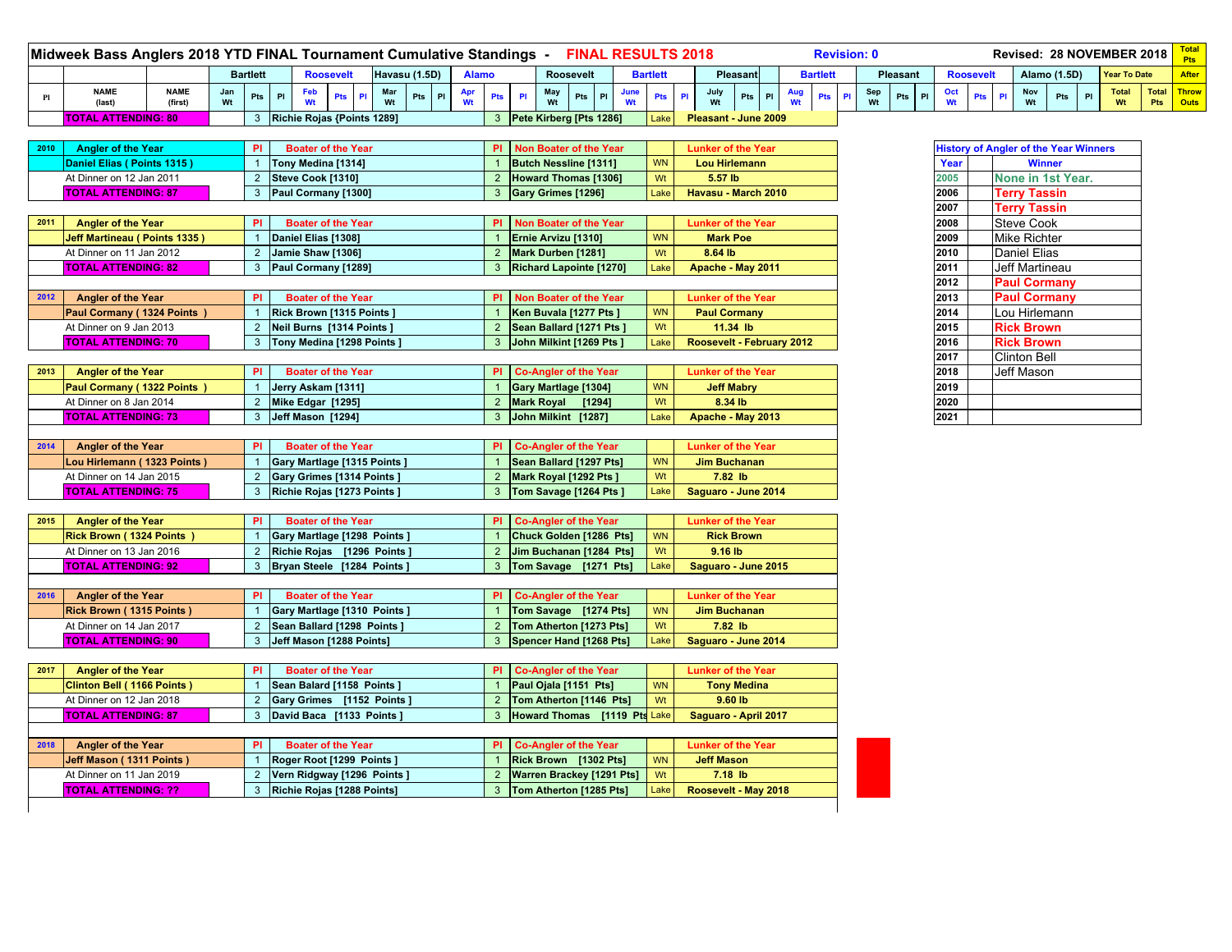|               | Midweek Bass Anglers 2018 YTD FINAL Tournament Cumulative Standings - FINAL RESULTS 2018<br>Revised: 28 NOVEMBER 2018<br><b>Revision: 0</b><br><b>Alamo</b> |                        |           |                |                                                            |                         |           |                |                                                    |           |            |                 |                           |                           | <b>Total</b><br><b>Pts</b> |     |                |                 |   |                  |           |                                              |    |                     |     |                            |
|---------------|-------------------------------------------------------------------------------------------------------------------------------------------------------------|------------------------|-----------|----------------|------------------------------------------------------------|-------------------------|-----------|----------------|----------------------------------------------------|-----------|------------|-----------------|---------------------------|---------------------------|----------------------------|-----|----------------|-----------------|---|------------------|-----------|----------------------------------------------|----|---------------------|-----|----------------------------|
|               | <b>Bartlett</b><br><b>Roosevelt</b><br>Havasu (1.5D)                                                                                                        |                        |           |                |                                                            |                         |           |                |                                                    | Roosevelt |            | <b>Bartlett</b> |                           | <b>Pleasant</b>           | <b>Bartlett</b>            |     |                | <b>Pleasant</b> |   | <b>Roosevelt</b> |           | Alamo (1.5D)                                 |    | <b>Year To Date</b> |     | <b>After</b>               |
| $\mathbf{Pl}$ | <b>NAME</b><br>(last)                                                                                                                                       | <b>NAME</b><br>(first) | Jan<br>Wt | Pts            | Feb<br>Wt<br>Pts<br>$\mathsf{PI}$<br>PI                    | Mar<br>Wt<br>$Pts$ $PI$ | Apr<br>Wt | Pts            | May<br>Wt<br>PI                                    | Pts<br>PI | June<br>Wt | Pts             | July<br>PI<br>Wt          | PI<br>Pts                 | Aug<br>Wt                  | Pts | Sep<br>Wt<br>P | Pts             | P | Oct<br>Wt        | Pts<br>PI | Nov<br>Pts<br>Wt                             | PI | <b>Total</b><br>Wt  | Pts | Total Throw<br><b>Outs</b> |
|               | <b>TOTAL ATTENDING: 80</b>                                                                                                                                  |                        |           |                | 3 Richie Rojas {Points 1289]                               |                         |           |                | 3 Pete Kirberg [Pts 1286]                          |           |            | Lake            | Pleasant - June 2009      |                           |                            |     |                |                 |   |                  |           |                                              |    |                     |     |                            |
|               |                                                                                                                                                             |                        |           |                |                                                            |                         |           |                |                                                    |           |            |                 |                           |                           |                            |     |                |                 |   |                  |           |                                              |    |                     |     |                            |
| 2010          | <b>Angler of the Year</b>                                                                                                                                   |                        |           | PI.            | <b>Boater of the Year</b>                                  |                         |           |                | PI Non Boater of the Year                          |           |            |                 |                           | <b>Lunker of the Year</b> |                            |     |                |                 |   |                  |           | <b>History of Angler of the Year Winners</b> |    |                     |     |                            |
|               | Daniel Elias (Points 1315)                                                                                                                                  |                        |           | $\overline{1}$ | Tony Medina [1314]                                         |                         |           | $\mathbf{1}$   | Butch Nessline [1311]                              |           |            | <b>WN</b>       | <b>Lou Hirlemann</b>      |                           |                            |     |                |                 |   | Year             |           | <b>Winner</b>                                |    |                     |     |                            |
|               | At Dinner on 12 Jan 2011                                                                                                                                    |                        |           |                | 2 Steve Cook [1310]                                        |                         |           |                | 2 Howard Thomas [1306]                             |           |            | Wt              | 5.57 lb                   |                           |                            |     |                |                 |   | 2005             |           | None in 1st Year.                            |    |                     |     |                            |
|               | <b>TOTAL ATTENDING: 87</b>                                                                                                                                  |                        |           |                | 3 Paul Cormany [1300]                                      |                         |           |                | 3 Gary Grimes [1296]                               |           |            | Lake            | Havasu - March 2010       |                           |                            |     |                |                 |   | 2006<br>2007     |           | <b>Terry Tassin</b><br><b>Terry Tassin</b>   |    |                     |     |                            |
| 2011          | <b>Angler of the Year</b>                                                                                                                                   |                        |           | PI.            | <b>Boater of the Year</b>                                  |                         |           |                | PI Non Boater of the Year                          |           |            |                 |                           | <b>Lunker of the Year</b> |                            |     |                |                 |   | 2008             |           | <b>Steve Cook</b>                            |    |                     |     |                            |
|               | Jeff Martineau (Points 1335)                                                                                                                                |                        |           |                | Daniel Elias [1308]                                        |                         |           |                | Ernie Arvizu [1310]                                |           |            | <b>WN</b>       | <b>Mark Poe</b>           |                           |                            |     |                |                 |   | 2009             |           | Mike Richter                                 |    |                     |     |                            |
|               | At Dinner on 11 Jan 2012                                                                                                                                    |                        |           | $\overline{2}$ | Jamie Shaw [1306]                                          |                         |           | 2 <sup>2</sup> | Mark Durben [1281]                                 |           |            | Wt              | 8.64 lb                   |                           |                            |     |                |                 |   | 2010             |           | <b>Daniel Elias</b>                          |    |                     |     |                            |
|               | <b>TOTAL ATTENDING: 82</b>                                                                                                                                  |                        |           | 3              | Paul Cormany [1289]                                        |                         |           | 3 <sup>1</sup> | <b>Richard Lapointe [1270]</b>                     |           |            | Lake            |                           | Apache - May 2011         |                            |     |                |                 |   | 2011             |           | Jeff Martineau                               |    |                     |     |                            |
|               |                                                                                                                                                             |                        |           |                |                                                            |                         |           |                |                                                    |           |            |                 |                           |                           |                            |     |                |                 |   | 2012             |           | Paul Cormany                                 |    |                     |     |                            |
| 2012          | <b>Angler of the Year</b>                                                                                                                                   |                        |           | <b>PI</b>      | <b>Boater of the Year</b>                                  |                         |           |                | PI Non Boater of the Year                          |           |            |                 |                           | Lunker of the Year        |                            |     |                |                 |   | 2013             |           | <b>Paul Cormany</b>                          |    |                     |     |                            |
|               | Paul Cormany (1324 Points)                                                                                                                                  |                        |           | $\overline{1}$ | Rick Brown [1315 Points]                                   |                         |           | $\mathbf{1}$   | Ken Buvala [1277 Pts ]                             |           |            | <b>WN</b>       | <b>Paul Cormany</b>       |                           |                            |     |                |                 |   | 2014             |           | ou Hirlemann                                 |    |                     |     |                            |
|               | At Dinner on 9 Jan 2013                                                                                                                                     |                        |           | $\overline{2}$ | Neil Burns [1314 Points]                                   |                         |           | 2 <sup>2</sup> | Sean Ballard [1271 Pts]                            |           |            | Wt              |                           | 11.34 lb                  |                            |     |                |                 |   | 2015             |           | <b>Rick Brown</b>                            |    |                     |     |                            |
|               | <b>TOTAL ATTENDING: 70</b>                                                                                                                                  |                        |           | 3              | Tony Medina [1298 Points]                                  |                         |           | 3 <sup>1</sup> | John Milkint [1269 Pts]                            |           |            | Lake            | Roosevelt - February 2012 |                           |                            |     |                |                 |   | 2016             |           | <b>Rick Brown</b>                            |    |                     |     |                            |
|               |                                                                                                                                                             |                        |           |                |                                                            |                         |           |                |                                                    |           |            |                 |                           |                           |                            |     |                |                 |   | 2017             |           | <b>Clinton Bell</b>                          |    |                     |     |                            |
| 2013          | <b>Angler of the Year</b>                                                                                                                                   |                        |           | PI.            | <b>Boater of the Year</b>                                  |                         |           |                | PI Co-Angler of the Year                           |           |            |                 | <b>Lunker of the Year</b> |                           |                            |     |                |                 |   | 2018             |           | Jeff Mason                                   |    |                     |     |                            |
|               | Paul Cormany (1322 Points                                                                                                                                   |                        |           | $\mathbf{1}$   | Jerry Askam [1311]                                         |                         |           | $\mathbf{1}$   | Gary Martlage [1304]                               |           |            | <b>WN</b>       |                           | <b>Jeff Mabry</b>         |                            |     |                |                 |   | 2019             |           |                                              |    |                     |     |                            |
|               | At Dinner on 8 Jan 2014                                                                                                                                     |                        |           | $2^{\circ}$    | Mike Edgar [1295]                                          |                         |           | 2 <sup>1</sup> | Mark Royal [1294]                                  |           |            | Wt              |                           | 8.34 lb                   |                            |     |                |                 |   | 2020             |           |                                              |    |                     |     |                            |
|               | <b>TOTAL ATTENDING: 73</b>                                                                                                                                  |                        |           | 3 <sup>5</sup> | Jeff Mason [1294]                                          |                         |           | 3 <sup>1</sup> | John Milkint [1287]                                |           |            | Lake            |                           | Apache - May 2013         |                            |     |                |                 |   | 2021             |           |                                              |    |                     |     |                            |
|               |                                                                                                                                                             |                        |           |                |                                                            |                         |           |                |                                                    |           |            |                 |                           |                           |                            |     |                |                 |   |                  |           |                                              |    |                     |     |                            |
| 2014          | <b>Angler of the Year</b>                                                                                                                                   |                        |           | PI.            | <b>Boater of the Year</b>                                  |                         |           |                | PI Co-Angler of the Year                           |           |            |                 |                           | Lunker of the Year        |                            |     |                |                 |   |                  |           |                                              |    |                     |     |                            |
|               | Lou Hirlemann (1323 Points)                                                                                                                                 |                        |           | $\overline{1}$ | Gary Martlage [1315 Points]                                |                         |           | $\mathbf{1}$   | Sean Ballard [1297 Pts]                            |           |            | <b>WN</b>       | <b>Jim Buchanan</b>       |                           |                            |     |                |                 |   |                  |           |                                              |    |                     |     |                            |
|               | At Dinner on 14 Jan 2015                                                                                                                                    |                        |           |                | 2 Gary Grimes [1314 Points]                                |                         |           | 2 <sup>2</sup> | Mark Royal [1292 Pts]                              |           |            | Wt              | 7.82 lb                   |                           |                            |     |                |                 |   |                  |           |                                              |    |                     |     |                            |
|               | <b>TOTAL ATTENDING: 75</b>                                                                                                                                  |                        |           | $\mathbf{3}$   | Richie Rojas [1273 Points]                                 |                         |           |                | 3 Tom Savage [1264 Pts ]                           |           |            | Lake            | Saguaro - June 2014       |                           |                            |     |                |                 |   |                  |           |                                              |    |                     |     |                            |
|               |                                                                                                                                                             |                        |           |                |                                                            |                         |           |                |                                                    |           |            |                 |                           |                           |                            |     |                |                 |   |                  |           |                                              |    |                     |     |                            |
| 2015          | <b>Angler of the Year</b>                                                                                                                                   |                        |           | PI.            | <b>Boater of the Year</b>                                  |                         |           |                | PI Co-Angler of the Year                           |           |            | <b>WN</b>       |                           | <b>Lunker of the Year</b> |                            |     |                |                 |   |                  |           |                                              |    |                     |     |                            |
|               | Rick Brown (1324 Points)<br>At Dinner on 13 Jan 2016                                                                                                        |                        |           | $2^{\circ}$    | Gary Martlage [1298 Points ]<br>Richie Rojas [1296 Points] |                         |           | 2 <sup>2</sup> | Chuck Golden [1286 Pts]<br>Jim Buchanan [1284 Pts] |           |            | Wt              | 9.16 lb                   | <b>Rick Brown</b>         |                            |     |                |                 |   |                  |           |                                              |    |                     |     |                            |
|               | <b>TOTAL ATTENDING: 92</b>                                                                                                                                  |                        |           | 3              | Bryan Steele [1284 Points ]                                |                         |           |                | Tom Savage [1271 Pts]                              |           |            | Lake            |                           |                           |                            |     |                |                 |   |                  |           |                                              |    |                     |     |                            |
|               |                                                                                                                                                             |                        |           |                |                                                            |                         |           |                |                                                    |           |            |                 |                           | Saguaro - June 2015       |                            |     |                |                 |   |                  |           |                                              |    |                     |     |                            |
| 2016          | <b>Angler of the Year</b>                                                                                                                                   |                        |           | <b>PI</b>      | <b>Boater of the Year</b>                                  |                         |           |                | PI Co-Angler of the Year                           |           |            |                 |                           | Lunker of the Year        |                            |     |                |                 |   |                  |           |                                              |    |                     |     |                            |
|               | Rick Brown (1315 Points)                                                                                                                                    |                        |           | $\overline{1}$ | Gary Martlage [1310 Points ]                               |                         |           | $\mathbf{1}$   | Tom Savage [1274 Pts]                              |           |            | <b>WN</b>       | <b>Jim Buchanan</b>       |                           |                            |     |                |                 |   |                  |           |                                              |    |                     |     |                            |
|               | At Dinner on 14 Jan 2017                                                                                                                                    |                        |           | $2^{\circ}$    | Sean Ballard [1298 Points]                                 |                         |           | 2 <sup>2</sup> | Tom Atherton [1273 Pts]                            |           |            | Wt              | 7.82 lb                   |                           |                            |     |                |                 |   |                  |           |                                              |    |                     |     |                            |
|               | <b>TOTAL ATTENDING: 90</b>                                                                                                                                  |                        |           | 3              | Jeff Mason [1288 Points]                                   |                         |           | 3              | Spencer Hand [1268 Pts]                            |           |            | Lake            | Saguaro - June 2014       |                           |                            |     |                |                 |   |                  |           |                                              |    |                     |     |                            |
|               |                                                                                                                                                             |                        |           |                |                                                            |                         |           |                |                                                    |           |            |                 |                           |                           |                            |     |                |                 |   |                  |           |                                              |    |                     |     |                            |
| 2017          | <b>Angler of the Year</b>                                                                                                                                   |                        |           | PI             | <b>Boater of the Year</b>                                  |                         |           |                | PI Co-Angler of the Year                           |           |            |                 |                           | <b>Lunker of the Year</b> |                            |     |                |                 |   |                  |           |                                              |    |                     |     |                            |
|               | Clinton Bell (1166 Points)                                                                                                                                  |                        |           |                | Sean Balard [1158 Points]                                  |                         |           | 1              | Paul Ojala [1151 Pts]                              |           |            | <b>WN</b>       |                           | <b>Tony Medina</b>        |                            |     |                |                 |   |                  |           |                                              |    |                     |     |                            |
|               | At Dinner on 12 Jan 2018                                                                                                                                    |                        |           |                | 2 Gary Grimes [1152 Points ]                               |                         |           | 2 <sup>2</sup> | Tom Atherton [1146 Pts]                            |           |            | Wt              |                           | $9.60$ lb                 |                            |     |                |                 |   |                  |           |                                              |    |                     |     |                            |
|               | <b>TOTAL ATTENDING: 87</b>                                                                                                                                  |                        |           | 3              | David Baca [1133 Points ]                                  |                         |           | 3              | Howard Thomas [1119 Pts Lake                       |           |            |                 |                           | Saguaro - April 2017      |                            |     |                |                 |   |                  |           |                                              |    |                     |     |                            |
|               |                                                                                                                                                             |                        |           |                |                                                            |                         |           |                |                                                    |           |            |                 |                           |                           |                            |     |                |                 |   |                  |           |                                              |    |                     |     |                            |
| 2018          | Angler of the Year                                                                                                                                          |                        |           | <b>PI</b>      | <b>Boater of the Year</b>                                  |                         |           |                | PI Co-Angler of the Year                           |           |            |                 |                           | <b>Lunker of the Year</b> |                            |     |                |                 |   |                  |           |                                              |    |                     |     |                            |
|               | Jeff Mason (1311 Points)                                                                                                                                    |                        |           | $\overline{1}$ | Roger Root [1299 Points ]                                  |                         |           |                | Rick Brown [1302 Pts]                              |           |            | <b>WN</b>       | <b>Jeff Mason</b>         |                           |                            |     |                |                 |   |                  |           |                                              |    |                     |     |                            |
|               | At Dinner on 11 Jan 2019                                                                                                                                    |                        |           | $\overline{2}$ | Vern Ridgway [1296 Points]                                 |                         |           | 2 <sup>2</sup> | <b>Warren Brackey [1291 Pts]</b>                   |           |            | Wt              | 7.18 lb                   |                           |                            |     |                |                 |   |                  |           |                                              |    |                     |     |                            |
|               | <b>TOTAL ATTENDING: ??</b>                                                                                                                                  |                        |           | 3              | Richie Rojas [1288 Points]                                 |                         |           |                | 3   Tom Atherton [1285 Pts]                        |           |            | Lake            | Roosevelt - May 2018      |                           |                            |     |                |                 |   |                  |           |                                              |    |                     |     |                            |